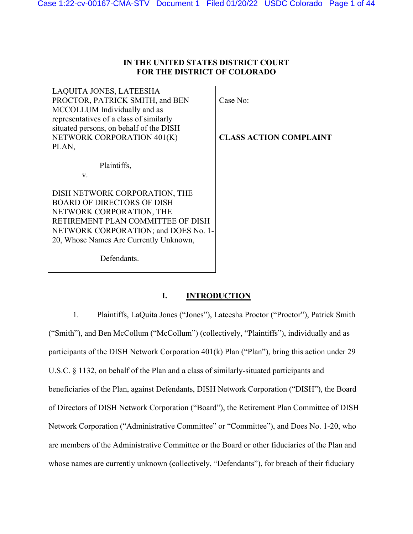# **IN THE UNITED STATES DISTRICT COURT FOR THE DISTRICT OF COLORADO**

| LAQUITA JONES, LATEESHA                 |                               |
|-----------------------------------------|-------------------------------|
| PROCTOR, PATRICK SMITH, and BEN         | Case No:                      |
| MCCOLLUM Individually and as            |                               |
| representatives of a class of similarly |                               |
| situated persons, on behalf of the DISH |                               |
| NETWORK CORPORATION 401(K)              | <b>CLASS ACTION COMPLAINT</b> |
| PLAN,                                   |                               |
|                                         |                               |
| Plaintiffs,                             |                               |
| V.                                      |                               |
| DISH NETWORK CORPORATION, THE           |                               |
| <b>BOARD OF DIRECTORS OF DISH</b>       |                               |
| NETWORK CORPORATION, THE                |                               |
| RETIREMENT PLAN COMMITTEE OF DISH       |                               |
| NETWORK CORPORATION; and DOES No. 1-    |                               |
| 20, Whose Names Are Currently Unknown,  |                               |
| Defendants.                             |                               |
|                                         |                               |

# **I. INTRODUCTION**

1. Plaintiffs, LaQuita Jones ("Jones"), Lateesha Proctor ("Proctor"), Patrick Smith ("Smith"), and Ben McCollum ("McCollum") (collectively, "Plaintiffs"), individually and as participants of the DISH Network Corporation 401(k) Plan ("Plan"), bring this action under 29 U.S.C. § 1132, on behalf of the Plan and a class of similarly-situated participants and beneficiaries of the Plan, against Defendants, DISH Network Corporation ("DISH"), the Board of Directors of DISH Network Corporation ("Board"), the Retirement Plan Committee of DISH Network Corporation ("Administrative Committee" or "Committee"), and Does No. 1-20, who are members of the Administrative Committee or the Board or other fiduciaries of the Plan and whose names are currently unknown (collectively, "Defendants"), for breach of their fiduciary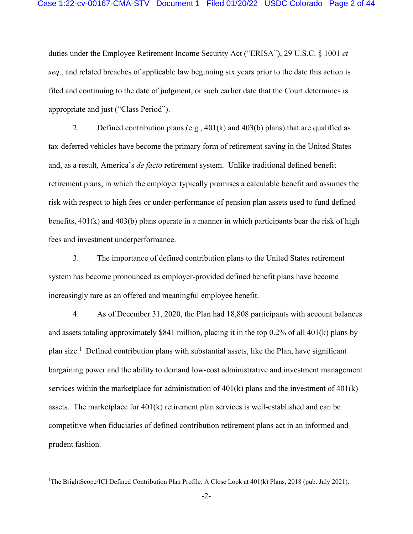duties under the Employee Retirement Income Security Act ("ERISA"), 29 U.S.C. § 1001 *et seq*., and related breaches of applicable law beginning six years prior to the date this action is filed and continuing to the date of judgment, or such earlier date that the Court determines is appropriate and just ("Class Period").

2. Defined contribution plans (e.g., 401(k) and 403(b) plans) that are qualified as tax-deferred vehicles have become the primary form of retirement saving in the United States and, as a result, America's *de facto* retirement system. Unlike traditional defined benefit retirement plans, in which the employer typically promises a calculable benefit and assumes the risk with respect to high fees or under-performance of pension plan assets used to fund defined benefits, 401(k) and 403(b) plans operate in a manner in which participants bear the risk of high fees and investment underperformance.

3. The importance of defined contribution plans to the United States retirement system has become pronounced as employer-provided defined benefit plans have become increasingly rare as an offered and meaningful employee benefit.

4. As of December 31, 2020, the Plan had 18,808 participants with account balances and assets totaling approximately \$841 million, placing it in the top  $0.2\%$  of all 401(k) plans by plan size.<sup>1</sup> Defined contribution plans with substantial assets, like the Plan, have significant bargaining power and the ability to demand low-cost administrative and investment management services within the marketplace for administration of  $401(k)$  plans and the investment of  $401(k)$ assets. The marketplace for 401(k) retirement plan services is well-established and can be competitive when fiduciaries of defined contribution retirement plans act in an informed and prudent fashion.

<sup>1</sup>The BrightScope/ICI Defined Contribution Plan Profile: A Close Look at 401(k) Plans, 2018 (pub. July 2021).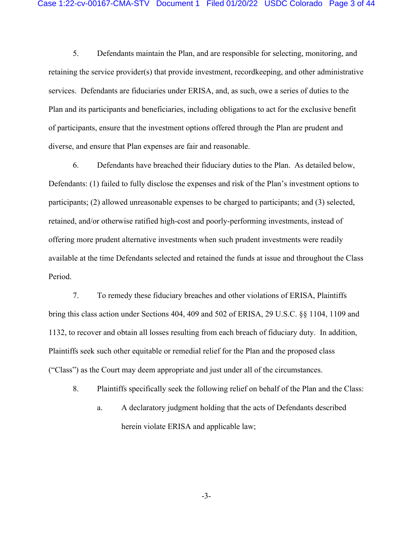5. Defendants maintain the Plan, and are responsible for selecting, monitoring, and retaining the service provider(s) that provide investment, recordkeeping, and other administrative services. Defendants are fiduciaries under ERISA, and, as such, owe a series of duties to the Plan and its participants and beneficiaries, including obligations to act for the exclusive benefit of participants, ensure that the investment options offered through the Plan are prudent and diverse, and ensure that Plan expenses are fair and reasonable.

6. Defendants have breached their fiduciary duties to the Plan. As detailed below, Defendants: (1) failed to fully disclose the expenses and risk of the Plan's investment options to participants; (2) allowed unreasonable expenses to be charged to participants; and (3) selected, retained, and/or otherwise ratified high-cost and poorly-performing investments, instead of offering more prudent alternative investments when such prudent investments were readily available at the time Defendants selected and retained the funds at issue and throughout the Class Period.

7. To remedy these fiduciary breaches and other violations of ERISA, Plaintiffs bring this class action under Sections 404, 409 and 502 of ERISA, 29 U.S.C. §§ 1104, 1109 and 1132, to recover and obtain all losses resulting from each breach of fiduciary duty. In addition, Plaintiffs seek such other equitable or remedial relief for the Plan and the proposed class ("Class") as the Court may deem appropriate and just under all of the circumstances.

8. Plaintiffs specifically seek the following relief on behalf of the Plan and the Class:

a. A declaratory judgment holding that the acts of Defendants described herein violate ERISA and applicable law;

-3-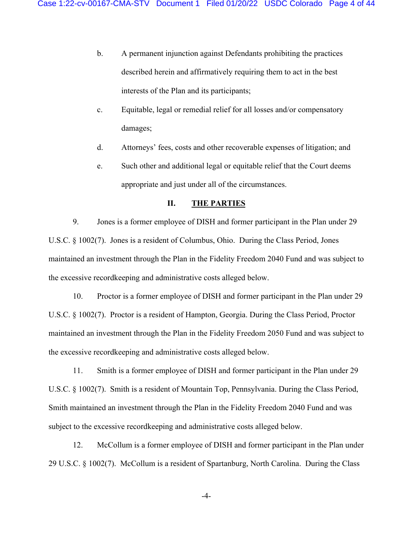- b. A permanent injunction against Defendants prohibiting the practices described herein and affirmatively requiring them to act in the best interests of the Plan and its participants;
- c. Equitable, legal or remedial relief for all losses and/or compensatory damages;
- d. Attorneys' fees, costs and other recoverable expenses of litigation; and
- e. Such other and additional legal or equitable relief that the Court deems appropriate and just under all of the circumstances.

### **II. THE PARTIES**

9. Jones is a former employee of DISH and former participant in the Plan under 29 U.S.C. § 1002(7). Jones is a resident of Columbus, Ohio. During the Class Period, Jones maintained an investment through the Plan in the Fidelity Freedom 2040 Fund and was subject to the excessive recordkeeping and administrative costs alleged below.

10. Proctor is a former employee of DISH and former participant in the Plan under 29 U.S.C. § 1002(7). Proctor is a resident of Hampton, Georgia. During the Class Period, Proctor maintained an investment through the Plan in the Fidelity Freedom 2050 Fund and was subject to the excessive recordkeeping and administrative costs alleged below.

11. Smith is a former employee of DISH and former participant in the Plan under 29 U.S.C. § 1002(7). Smith is a resident of Mountain Top, Pennsylvania. During the Class Period, Smith maintained an investment through the Plan in the Fidelity Freedom 2040 Fund and was subject to the excessive recordkeeping and administrative costs alleged below.

12. McCollum is a former employee of DISH and former participant in the Plan under 29 U.S.C. § 1002(7). McCollum is a resident of Spartanburg, North Carolina. During the Class

-4-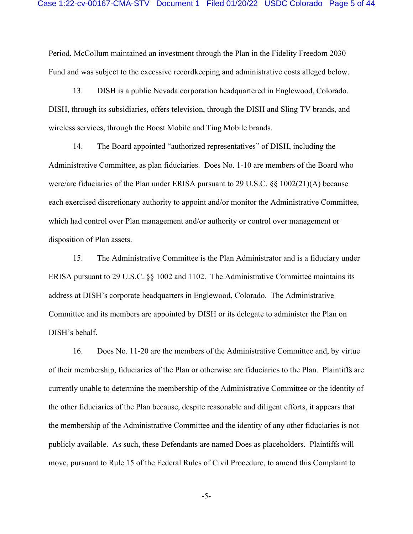Period, McCollum maintained an investment through the Plan in the Fidelity Freedom 2030 Fund and was subject to the excessive recordkeeping and administrative costs alleged below.

13. DISH is a public Nevada corporation headquartered in Englewood, Colorado. DISH, through its subsidiaries, offers television, through the DISH and Sling TV brands, and wireless services, through the Boost Mobile and Ting Mobile brands.

14. The Board appointed "authorized representatives" of DISH, including the Administrative Committee, as plan fiduciaries. Does No. 1-10 are members of the Board who were/are fiduciaries of the Plan under ERISA pursuant to 29 U.S.C. §§ 1002(21)(A) because each exercised discretionary authority to appoint and/or monitor the Administrative Committee, which had control over Plan management and/or authority or control over management or disposition of Plan assets.

15. The Administrative Committee is the Plan Administrator and is a fiduciary under ERISA pursuant to 29 U.S.C. §§ 1002 and 1102. The Administrative Committee maintains its address at DISH's corporate headquarters in Englewood, Colorado. The Administrative Committee and its members are appointed by DISH or its delegate to administer the Plan on DISH's behalf.

16. Does No. 11-20 are the members of the Administrative Committee and, by virtue of their membership, fiduciaries of the Plan or otherwise are fiduciaries to the Plan. Plaintiffs are currently unable to determine the membership of the Administrative Committee or the identity of the other fiduciaries of the Plan because, despite reasonable and diligent efforts, it appears that the membership of the Administrative Committee and the identity of any other fiduciaries is not publicly available. As such, these Defendants are named Does as placeholders. Plaintiffs will move, pursuant to Rule 15 of the Federal Rules of Civil Procedure, to amend this Complaint to

-5-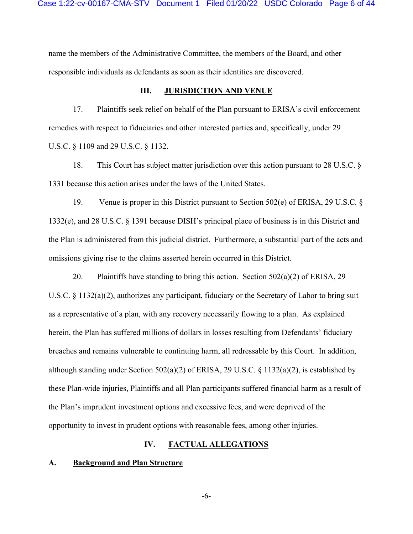name the members of the Administrative Committee, the members of the Board, and other responsible individuals as defendants as soon as their identities are discovered.

### **III.** JURISDICTION AND VENUE

17. Plaintiffs seek relief on behalf of the Plan pursuant to ERISA's civil enforcement remedies with respect to fiduciaries and other interested parties and, specifically, under 29 U.S.C. § 1109 and 29 U.S.C. § 1132.

18. This Court has subject matter jurisdiction over this action pursuant to 28 U.S.C. § 1331 because this action arises under the laws of the United States.

19. Venue is proper in this District pursuant to Section 502(e) of ERISA, 29 U.S.C. § 1332(e), and 28 U.S.C. § 1391 because DISH's principal place of business is in this District and the Plan is administered from this judicial district. Furthermore, a substantial part of the acts and omissions giving rise to the claims asserted herein occurred in this District.

20. Plaintiffs have standing to bring this action. Section  $502(a)(2)$  of ERISA, 29 U.S.C. § 1132(a)(2), authorizes any participant, fiduciary or the Secretary of Labor to bring suit as a representative of a plan, with any recovery necessarily flowing to a plan. As explained herein, the Plan has suffered millions of dollars in losses resulting from Defendants' fiduciary breaches and remains vulnerable to continuing harm, all redressable by this Court. In addition, although standing under Section 502(a)(2) of ERISA, 29 U.S.C. § 1132(a)(2), is established by these Plan-wide injuries, Plaintiffs and all Plan participants suffered financial harm as a result of the Plan's imprudent investment options and excessive fees, and were deprived of the opportunity to invest in prudent options with reasonable fees, among other injuries.

### **IV. FACTUAL ALLEGATIONS**

#### **A. Background and Plan Structure**

-6-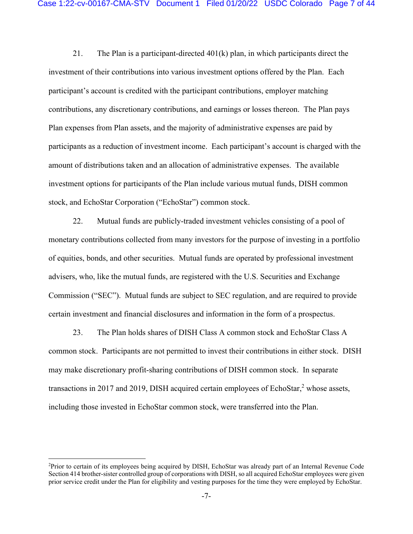21. The Plan is a participant-directed  $401(k)$  plan, in which participants direct the investment of their contributions into various investment options offered by the Plan. Each participant's account is credited with the participant contributions, employer matching contributions, any discretionary contributions, and earnings or losses thereon. The Plan pays Plan expenses from Plan assets, and the majority of administrative expenses are paid by participants as a reduction of investment income. Each participant's account is charged with the amount of distributions taken and an allocation of administrative expenses. The available investment options for participants of the Plan include various mutual funds, DISH common stock, and EchoStar Corporation ("EchoStar") common stock.

22. Mutual funds are publicly-traded investment vehicles consisting of a pool of monetary contributions collected from many investors for the purpose of investing in a portfolio of equities, bonds, and other securities. Mutual funds are operated by professional investment advisers, who, like the mutual funds, are registered with the U.S. Securities and Exchange Commission ("SEC"). Mutual funds are subject to SEC regulation, and are required to provide certain investment and financial disclosures and information in the form of a prospectus.

23. The Plan holds shares of DISH Class A common stock and EchoStar Class A common stock. Participants are not permitted to invest their contributions in either stock. DISH may make discretionary profit-sharing contributions of DISH common stock. In separate transactions in 2017 and 2019, DISH acquired certain employees of EchoStar, $2$  whose assets, including those invested in EchoStar common stock, were transferred into the Plan.

<sup>2</sup>Prior to certain of its employees being acquired by DISH, EchoStar was already part of an Internal Revenue Code Section 414 brother-sister controlled group of corporations with DISH, so all acquired EchoStar employees were given prior service credit under the Plan for eligibility and vesting purposes for the time they were employed by EchoStar.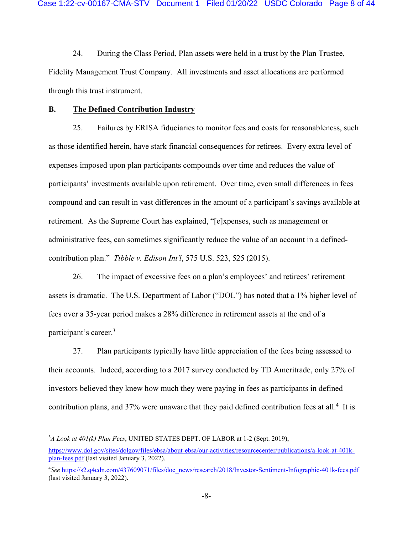24. During the Class Period, Plan assets were held in a trust by the Plan Trustee, Fidelity Management Trust Company. All investments and asset allocations are performed through this trust instrument.

### **B. The Defined Contribution Industry**

25. Failures by ERISA fiduciaries to monitor fees and costs for reasonableness, such as those identified herein, have stark financial consequences for retirees. Every extra level of expenses imposed upon plan participants compounds over time and reduces the value of participants' investments available upon retirement. Over time, even small differences in fees compound and can result in vast differences in the amount of a participant's savings available at retirement. As the Supreme Court has explained, "[e]xpenses, such as management or administrative fees, can sometimes significantly reduce the value of an account in a definedcontribution plan." *Tibble v. Edison Int'l*, 575 U.S. 523, 525 (2015).

26. The impact of excessive fees on a plan's employees' and retirees' retirement assets is dramatic. The U.S. Department of Labor ("DOL") has noted that a 1% higher level of fees over a 35-year period makes a 28% difference in retirement assets at the end of a participant's career.<sup>3</sup>

27. Plan participants typically have little appreciation of the fees being assessed to their accounts. Indeed, according to a 2017 survey conducted by TD Ameritrade, only 27% of investors believed they knew how much they were paying in fees as participants in defined contribution plans, and 37% were unaware that they paid defined contribution fees at all.<sup>4</sup> It is

<sup>3</sup>*A Look at 401(k) Plan Fees*, UNITED STATES DEPT. OF LABOR at 1-2 (Sept. 2019),

https://www.dol.gov/sites/dolgov/files/ebsa/about-ebsa/our-activities/resourcecenter/publications/a-look-at-401kplan-fees.pdf (last visited January 3, 2022).

<sup>4</sup>*See* https://s2.q4cdn.com/437609071/files/doc\_news/research/2018/Investor-Sentiment-Infographic-401k-fees.pdf (last visited January 3, 2022).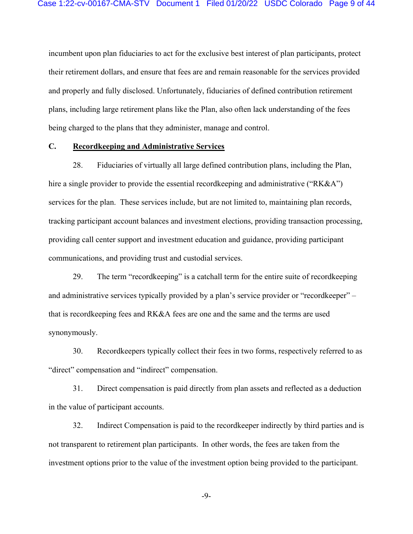incumbent upon plan fiduciaries to act for the exclusive best interest of plan participants, protect their retirement dollars, and ensure that fees are and remain reasonable for the services provided and properly and fully disclosed. Unfortunately, fiduciaries of defined contribution retirement plans, including large retirement plans like the Plan, also often lack understanding of the fees being charged to the plans that they administer, manage and control.

### **C. Recordkeeping and Administrative Services**

28. Fiduciaries of virtually all large defined contribution plans, including the Plan, hire a single provider to provide the essential record keeping and administrative ("RK&A") services for the plan. These services include, but are not limited to, maintaining plan records, tracking participant account balances and investment elections, providing transaction processing, providing call center support and investment education and guidance, providing participant communications, and providing trust and custodial services.

29. The term "recordkeeping" is a catchall term for the entire suite of recordkeeping and administrative services typically provided by a plan's service provider or "recordkeeper" – that is recordkeeping fees and RK&A fees are one and the same and the terms are used synonymously.

30. Recordkeepers typically collect their fees in two forms, respectively referred to as "direct" compensation and "indirect" compensation.

31. Direct compensation is paid directly from plan assets and reflected as a deduction in the value of participant accounts.

32. Indirect Compensation is paid to the recordkeeper indirectly by third parties and is not transparent to retirement plan participants. In other words, the fees are taken from the investment options prior to the value of the investment option being provided to the participant.

-9-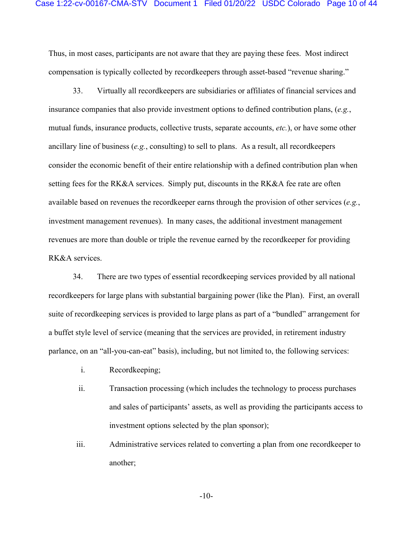Thus, in most cases, participants are not aware that they are paying these fees. Most indirect compensation is typically collected by recordkeepers through asset-based "revenue sharing."

33. Virtually all recordkeepers are subsidiaries or affiliates of financial services and insurance companies that also provide investment options to defined contribution plans, (*e.g.*, mutual funds, insurance products, collective trusts, separate accounts, *etc.*), or have some other ancillary line of business (*e.g.*, consulting) to sell to plans. As a result, all record keepers consider the economic benefit of their entire relationship with a defined contribution plan when setting fees for the RK&A services. Simply put, discounts in the RK&A fee rate are often available based on revenues the recordkeeper earns through the provision of other services (*e.g.*, investment management revenues). In many cases, the additional investment management revenues are more than double or triple the revenue earned by the recordkeeper for providing RK&A services.

34. There are two types of essential recordkeeping services provided by all national recordkeepers for large plans with substantial bargaining power (like the Plan). First, an overall suite of recordkeeping services is provided to large plans as part of a "bundled" arrangement for a buffet style level of service (meaning that the services are provided, in retirement industry parlance, on an "all-you-can-eat" basis), including, but not limited to, the following services:

- i. Recordkeeping;
- ii. Transaction processing (which includes the technology to process purchases and sales of participants' assets, as well as providing the participants access to investment options selected by the plan sponsor);
- iii. Administrative services related to converting a plan from one recordkeeper to another;

-10-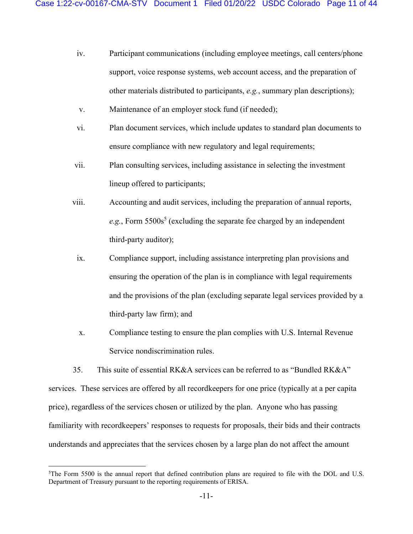- iv. Participant communications (including employee meetings, call centers/phone support, voice response systems, web account access, and the preparation of other materials distributed to participants, *e.g.*, summary plan descriptions);
- v. Maintenance of an employer stock fund (if needed);
- vi. Plan document services, which include updates to standard plan documents to ensure compliance with new regulatory and legal requirements;
- vii. Plan consulting services, including assistance in selecting the investment lineup offered to participants;
- viii. Accounting and audit services, including the preparation of annual reports,  $e.g.,$  Form  $5500s<sup>5</sup>$  (excluding the separate fee charged by an independent third-party auditor);
	- ix. Compliance support, including assistance interpreting plan provisions and ensuring the operation of the plan is in compliance with legal requirements and the provisions of the plan (excluding separate legal services provided by a third-party law firm); and
	- x. Compliance testing to ensure the plan complies with U.S. Internal Revenue Service nondiscrimination rules.

35. This suite of essential RK&A services can be referred to as "Bundled RK&A" services. These services are offered by all recordkeepers for one price (typically at a per capita price), regardless of the services chosen or utilized by the plan. Anyone who has passing familiarity with recordkeepers' responses to requests for proposals, their bids and their contracts understands and appreciates that the services chosen by a large plan do not affect the amount

<sup>5</sup>The Form 5500 is the annual report that defined contribution plans are required to file with the DOL and U.S. Department of Treasury pursuant to the reporting requirements of ERISA.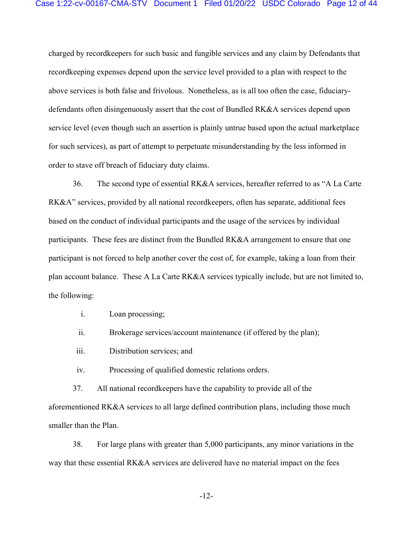charged by recordkeepers for such basic and fungible services and any claim by Defendants that recordkeeping expenses depend upon the service level provided to a plan with respect to the above services is both false and frivolous. Nonetheless, as is all too often the case, fiduciarydefendants often disingenuously assert that the cost of Bundled RK&A services depend upon service level (even though such an assertion is plainly untrue based upon the actual marketplace for such services), as part of attempt to perpetuate misunderstanding by the less informed in order to stave off breach of fiduciary duty claims.

36. The second type of essential RK&A services, hereafter referred to as "A La Carte RK&A" services, provided by all national record keepers, often has separate, additional fees based on the conduct of individual participants and the usage of the services by individual participants. These fees are distinct from the Bundled RK&A arrangement to ensure that one participant is not forced to help another cover the cost of, for example, taking a loan from their plan account balance. These A La Carte RK&A services typically include, but are not limited to, the following:

i. Loan processing;

ii. Brokerage services/account maintenance (if offered by the plan);

iii. Distribution services; and

iv. Processing of qualified domestic relations orders.

37. All national recordkeepers have the capability to provide all of the aforementioned RK&A services to all large defined contribution plans, including those much smaller than the Plan.

38. For large plans with greater than 5,000 participants, any minor variations in the way that these essential RK&A services are delivered have no material impact on the fees

-12-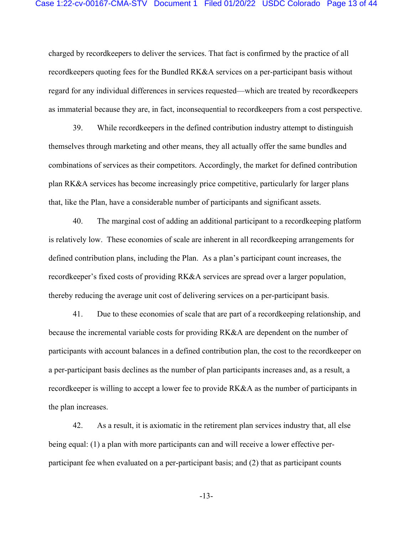charged by recordkeepers to deliver the services. That fact is confirmed by the practice of all recordkeepers quoting fees for the Bundled RK&A services on a per-participant basis without regard for any individual differences in services requested—which are treated by recordkeepers as immaterial because they are, in fact, inconsequential to recordkeepers from a cost perspective.

39. While recordkeepers in the defined contribution industry attempt to distinguish themselves through marketing and other means, they all actually offer the same bundles and combinations of services as their competitors. Accordingly, the market for defined contribution plan RK&A services has become increasingly price competitive, particularly for larger plans that, like the Plan, have a considerable number of participants and significant assets.

40. The marginal cost of adding an additional participant to a recordkeeping platform is relatively low. These economies of scale are inherent in all recordkeeping arrangements for defined contribution plans, including the Plan. As a plan's participant count increases, the recordkeeper's fixed costs of providing RK&A services are spread over a larger population, thereby reducing the average unit cost of delivering services on a per-participant basis.

41. Due to these economies of scale that are part of a recordkeeping relationship, and because the incremental variable costs for providing RK&A are dependent on the number of participants with account balances in a defined contribution plan, the cost to the recordkeeper on a per-participant basis declines as the number of plan participants increases and, as a result, a recordkeeper is willing to accept a lower fee to provide RK&A as the number of participants in the plan increases.

42. As a result, it is axiomatic in the retirement plan services industry that, all else being equal: (1) a plan with more participants can and will receive a lower effective perparticipant fee when evaluated on a per-participant basis; and (2) that as participant counts

-13-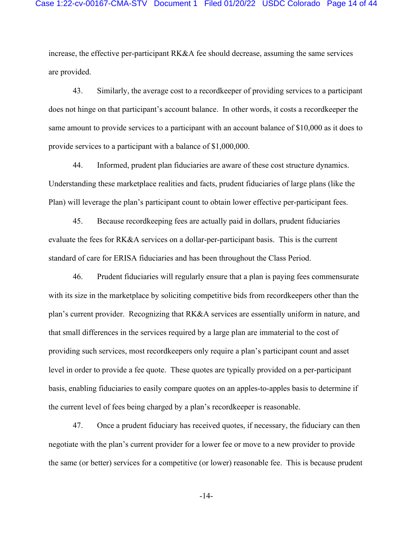increase, the effective per-participant RK&A fee should decrease, assuming the same services are provided.

43. Similarly, the average cost to a recordkeeper of providing services to a participant does not hinge on that participant's account balance. In other words, it costs a recordkeeper the same amount to provide services to a participant with an account balance of \$10,000 as it does to provide services to a participant with a balance of \$1,000,000.

44. Informed, prudent plan fiduciaries are aware of these cost structure dynamics. Understanding these marketplace realities and facts, prudent fiduciaries of large plans (like the Plan) will leverage the plan's participant count to obtain lower effective per-participant fees.

45. Because recordkeeping fees are actually paid in dollars, prudent fiduciaries evaluate the fees for RK&A services on a dollar-per-participant basis. This is the current standard of care for ERISA fiduciaries and has been throughout the Class Period.

46. Prudent fiduciaries will regularly ensure that a plan is paying fees commensurate with its size in the marketplace by soliciting competitive bids from recordkeepers other than the plan's current provider. Recognizing that RK&A services are essentially uniform in nature, and that small differences in the services required by a large plan are immaterial to the cost of providing such services, most recordkeepers only require a plan's participant count and asset level in order to provide a fee quote. These quotes are typically provided on a per-participant basis, enabling fiduciaries to easily compare quotes on an apples-to-apples basis to determine if the current level of fees being charged by a plan's recordkeeper is reasonable.

47. Once a prudent fiduciary has received quotes, if necessary, the fiduciary can then negotiate with the plan's current provider for a lower fee or move to a new provider to provide the same (or better) services for a competitive (or lower) reasonable fee. This is because prudent

-14-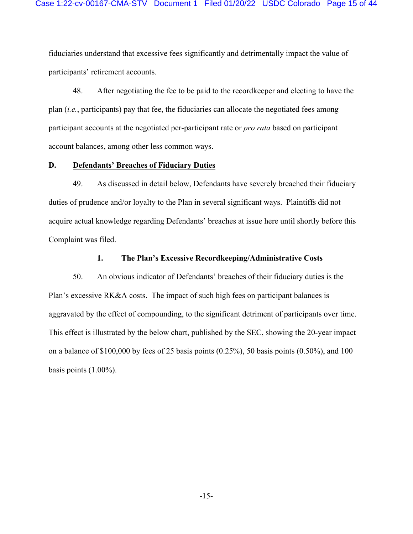fiduciaries understand that excessive fees significantly and detrimentally impact the value of participants' retirement accounts.

48. After negotiating the fee to be paid to the recordkeeper and electing to have the plan (*i.e.*, participants) pay that fee, the fiduciaries can allocate the negotiated fees among participant accounts at the negotiated per-participant rate or *pro rata* based on participant account balances, among other less common ways.

#### **D. Defendants' Breaches of Fiduciary Duties**

49. As discussed in detail below, Defendants have severely breached their fiduciary duties of prudence and/or loyalty to the Plan in several significant ways. Plaintiffs did not acquire actual knowledge regarding Defendants' breaches at issue here until shortly before this Complaint was filed.

### **1. The Plan's Excessive Recordkeeping/Administrative Costs**

50. An obvious indicator of Defendants' breaches of their fiduciary duties is the Plan's excessive RK&A costs. The impact of such high fees on participant balances is aggravated by the effect of compounding, to the significant detriment of participants over time. This effect is illustrated by the below chart, published by the SEC, showing the 20-year impact on a balance of \$100,000 by fees of 25 basis points (0.25%), 50 basis points (0.50%), and 100 basis points (1.00%).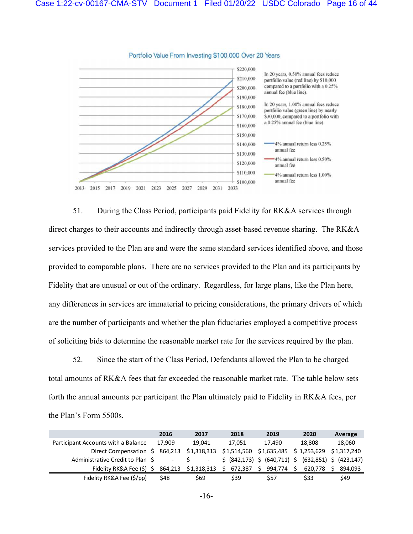

Portfolio Value From Investing \$100,000 Over 20 Years

51. During the Class Period, participants paid Fidelity for RK&A services through direct charges to their accounts and indirectly through asset-based revenue sharing. The RK&A services provided to the Plan are and were the same standard services identified above, and those provided to comparable plans. There are no services provided to the Plan and its participants by Fidelity that are unusual or out of the ordinary. Regardless, for large plans, like the Plan here, any differences in services are immaterial to pricing considerations, the primary drivers of which are the number of participants and whether the plan fiduciaries employed a competitive process of soliciting bids to determine the reasonable market rate for the services required by the plan.

52. Since the start of the Class Period, Defendants allowed the Plan to be charged total amounts of RK&A fees that far exceeded the reasonable market rate. The table below sets forth the annual amounts per participant the Plan ultimately paid to Fidelity in RK&A fees, per the Plan's Form 5500s.

|                                     | 2016                     | 2017   |    | 2018                      |       | 2019    |   | 2020                                            |   | Average |
|-------------------------------------|--------------------------|--------|----|---------------------------|-------|---------|---|-------------------------------------------------|---|---------|
| Participant Accounts with a Balance | 17.909                   | 19.041 |    | 17.051                    |       | 17.490  |   | 18.808                                          |   | 18,060  |
| Direct Compensation \$              | 864,213 \$1,318,313      |        |    |                           |       |         |   | \$1,514,560 \$1,635,485 \$1,253,629 \$1,317,240 |   |         |
| Administrative Credit to Plan \$    | $\overline{\phantom{a}}$ |        |    | (842,173) \$ (640,711) \$ |       |         |   | $(632,851)$ \$ $(423,147)$                      |   |         |
| Fidelity RK&A Fee (\$) \$           | 864,213 \$1,318,313      |        | S. | 672,387                   | - \$- | 994,774 | S | 620.778                                         | s | 894.093 |
| Fidelity RK&A Fee (\$/pp)           | \$48                     | \$69   |    | \$39                      |       | \$57    |   | \$33                                            |   | \$49    |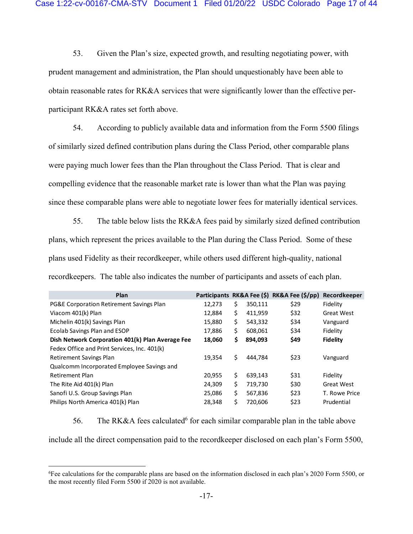53. Given the Plan's size, expected growth, and resulting negotiating power, with prudent management and administration, the Plan should unquestionably have been able to obtain reasonable rates for RK&A services that were significantly lower than the effective perparticipant RK&A rates set forth above.

54. According to publicly available data and information from the Form 5500 filings of similarly sized defined contribution plans during the Class Period, other comparable plans were paying much lower fees than the Plan throughout the Class Period. That is clear and compelling evidence that the reasonable market rate is lower than what the Plan was paying since these comparable plans were able to negotiate lower fees for materially identical services.

55. The table below lists the RK&A fees paid by similarly sized defined contribution plans, which represent the prices available to the Plan during the Class Period. Some of these plans used Fidelity as their recordkeeper, while others used different high-quality, national recordkeepers. The table also indicates the number of participants and assets of each plan.

| Plan                                                |        |    |         | Participants RK&A Fee (\$) RK&A Fee (\$/pp) | Recordkeeper      |
|-----------------------------------------------------|--------|----|---------|---------------------------------------------|-------------------|
| <b>PG&amp;E Corporation Retirement Savings Plan</b> | 12,273 | \$ | 350,111 | \$29                                        | Fidelity          |
| Viacom 401(k) Plan                                  | 12,884 | \$ | 411,959 | \$32                                        | <b>Great West</b> |
| Michelin 401(k) Savings Plan                        | 15,880 | \$ | 543,332 | \$34                                        | Vanguard          |
| Ecolab Savings Plan and ESOP                        | 17,886 | \$ | 608,061 | \$34                                        | Fidelity          |
| Dish Network Corporation 401(k) Plan Average Fee    | 18,060 | \$ | 894,093 | \$49                                        | Fidelity          |
| Fedex Office and Print Services, Inc. 401(k)        |        |    |         |                                             |                   |
| <b>Retirement Savings Plan</b>                      | 19,354 | \$ | 444.784 | \$23                                        | Vanguard          |
| Qualcomm Incorporated Employee Savings and          |        |    |         |                                             |                   |
| Retirement Plan                                     | 20,955 | \$ | 639.143 | \$31                                        | Fidelity          |
| The Rite Aid 401(k) Plan                            | 24,309 | \$ | 719,730 | \$30                                        | <b>Great West</b> |
| Sanofi U.S. Group Savings Plan                      | 25,086 | \$ | 567,836 | \$23                                        | T. Rowe Price     |
| Philips North America 401(k) Plan                   | 28.348 | Ś  | 720.606 | \$23                                        | Prudential        |

56. The RK&A fees calculated<sup>6</sup> for each similar comparable plan in the table above

include all the direct compensation paid to the recordkeeper disclosed on each plan's Form 5500,

<sup>6</sup>Fee calculations for the comparable plans are based on the information disclosed in each plan's 2020 Form 5500, or the most recently filed Form 5500 if 2020 is not available.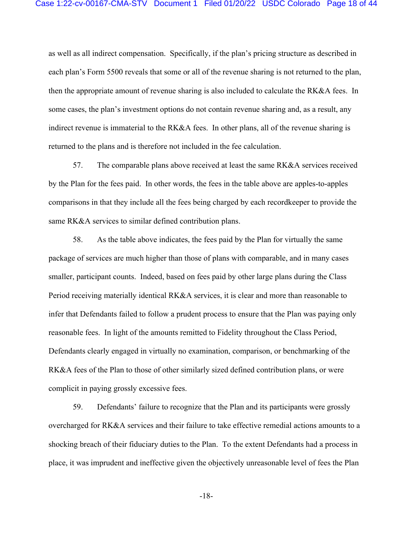as well as all indirect compensation. Specifically, if the plan's pricing structure as described in each plan's Form 5500 reveals that some or all of the revenue sharing is not returned to the plan, then the appropriate amount of revenue sharing is also included to calculate the RK&A fees. In some cases, the plan's investment options do not contain revenue sharing and, as a result, any indirect revenue is immaterial to the RK&A fees. In other plans, all of the revenue sharing is returned to the plans and is therefore not included in the fee calculation.

57. The comparable plans above received at least the same RK&A services received by the Plan for the fees paid. In other words, the fees in the table above are apples-to-apples comparisons in that they include all the fees being charged by each recordkeeper to provide the same RK&A services to similar defined contribution plans.

58. As the table above indicates, the fees paid by the Plan for virtually the same package of services are much higher than those of plans with comparable, and in many cases smaller, participant counts. Indeed, based on fees paid by other large plans during the Class Period receiving materially identical RK&A services, it is clear and more than reasonable to infer that Defendants failed to follow a prudent process to ensure that the Plan was paying only reasonable fees. In light of the amounts remitted to Fidelity throughout the Class Period, Defendants clearly engaged in virtually no examination, comparison, or benchmarking of the RK&A fees of the Plan to those of other similarly sized defined contribution plans, or were complicit in paying grossly excessive fees.

59. Defendants' failure to recognize that the Plan and its participants were grossly overcharged for RK&A services and their failure to take effective remedial actions amounts to a shocking breach of their fiduciary duties to the Plan. To the extent Defendants had a process in place, it was imprudent and ineffective given the objectively unreasonable level of fees the Plan

-18-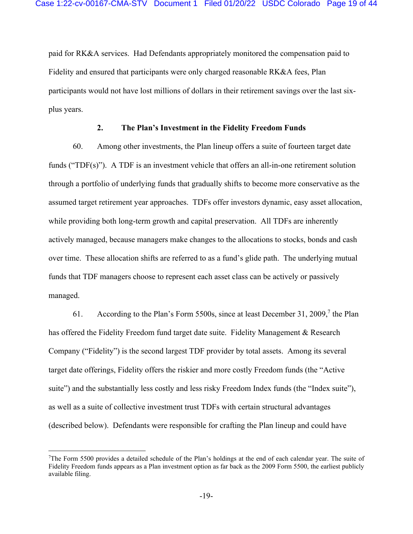paid for RK&A services. Had Defendants appropriately monitored the compensation paid to Fidelity and ensured that participants were only charged reasonable RK&A fees, Plan participants would not have lost millions of dollars in their retirement savings over the last sixplus years.

# **2. The Plan's Investment in the Fidelity Freedom Funds**

60. Among other investments, the Plan lineup offers a suite of fourteen target date funds ("TDF(s)"). A TDF is an investment vehicle that offers an all-in-one retirement solution through a portfolio of underlying funds that gradually shifts to become more conservative as the assumed target retirement year approaches. TDFs offer investors dynamic, easy asset allocation, while providing both long-term growth and capital preservation. All TDFs are inherently actively managed, because managers make changes to the allocations to stocks, bonds and cash over time. These allocation shifts are referred to as a fund's glide path. The underlying mutual funds that TDF managers choose to represent each asset class can be actively or passively managed.

61. According to the Plan's Form 5500s, since at least December 31, 2009,<sup>7</sup> the Plan has offered the Fidelity Freedom fund target date suite. Fidelity Management & Research Company ("Fidelity") is the second largest TDF provider by total assets. Among its several target date offerings, Fidelity offers the riskier and more costly Freedom funds (the "Active suite") and the substantially less costly and less risky Freedom Index funds (the "Index suite"), as well as a suite of collective investment trust TDFs with certain structural advantages (described below). Defendants were responsible for crafting the Plan lineup and could have

<sup>7</sup>The Form 5500 provides a detailed schedule of the Plan's holdings at the end of each calendar year. The suite of Fidelity Freedom funds appears as a Plan investment option as far back as the 2009 Form 5500, the earliest publicly available filing.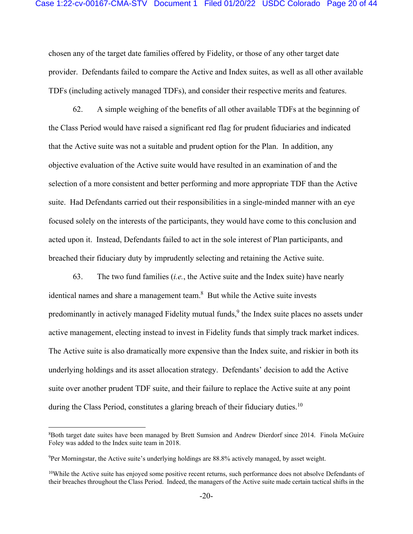chosen any of the target date families offered by Fidelity, or those of any other target date provider. Defendants failed to compare the Active and Index suites, as well as all other available TDFs (including actively managed TDFs), and consider their respective merits and features.

62. A simple weighing of the benefits of all other available TDFs at the beginning of the Class Period would have raised a significant red flag for prudent fiduciaries and indicated that the Active suite was not a suitable and prudent option for the Plan. In addition, any objective evaluation of the Active suite would have resulted in an examination of and the selection of a more consistent and better performing and more appropriate TDF than the Active suite. Had Defendants carried out their responsibilities in a single-minded manner with an eye focused solely on the interests of the participants, they would have come to this conclusion and acted upon it. Instead, Defendants failed to act in the sole interest of Plan participants, and breached their fiduciary duty by imprudently selecting and retaining the Active suite.

63. The two fund families (*i.e.*, the Active suite and the Index suite) have nearly identical names and share a management team. $8$  But while the Active suite invests predominantly in actively managed Fidelity mutual funds, <sup>9</sup> the Index suite places no assets under active management, electing instead to invest in Fidelity funds that simply track market indices. The Active suite is also dramatically more expensive than the Index suite, and riskier in both its underlying holdings and its asset allocation strategy. Defendants' decision to add the Active suite over another prudent TDF suite, and their failure to replace the Active suite at any point during the Class Period, constitutes a glaring breach of their fiduciary duties.<sup>10</sup>

<sup>8</sup>Both target date suites have been managed by Brett Sumsion and Andrew Dierdorf since 2014. Finola McGuire Foley was added to the Index suite team in 2018.

<sup>9</sup>Per Morningstar, the Active suite's underlying holdings are 88.8% actively managed, by asset weight.

 $10$ While the Active suite has enjoyed some positive recent returns, such performance does not absolve Defendants of their breaches throughout the Class Period. Indeed, the managers of the Active suite made certain tactical shifts in the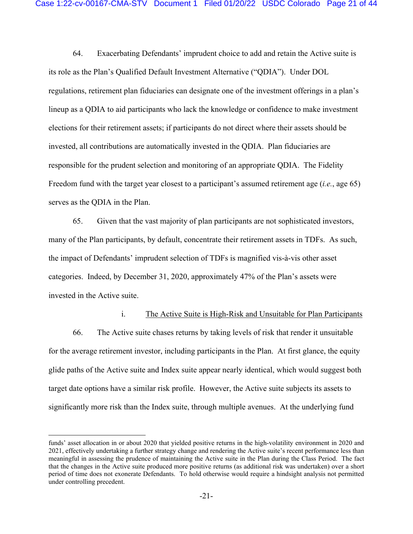64. Exacerbating Defendants' imprudent choice to add and retain the Active suite is its role as the Plan's Qualified Default Investment Alternative ("QDIA"). Under DOL regulations, retirement plan fiduciaries can designate one of the investment offerings in a plan's lineup as a QDIA to aid participants who lack the knowledge or confidence to make investment elections for their retirement assets; if participants do not direct where their assets should be invested, all contributions are automatically invested in the QDIA. Plan fiduciaries are responsible for the prudent selection and monitoring of an appropriate QDIA. The Fidelity Freedom fund with the target year closest to a participant's assumed retirement age (*i.e.*, age 65) serves as the QDIA in the Plan.

65. Given that the vast majority of plan participants are not sophisticated investors, many of the Plan participants, by default, concentrate their retirement assets in TDFs. As such, the impact of Defendants' imprudent selection of TDFs is magnified vis-à-vis other asset categories. Indeed, by December 31, 2020, approximately 47% of the Plan's assets were invested in the Active suite.

# i. The Active Suite is High-Risk and Unsuitable for Plan Participants

66. The Active suite chases returns by taking levels of risk that render it unsuitable for the average retirement investor, including participants in the Plan. At first glance, the equity glide paths of the Active suite and Index suite appear nearly identical, which would suggest both target date options have a similar risk profile. However, the Active suite subjects its assets to significantly more risk than the Index suite, through multiple avenues. At the underlying fund

funds' asset allocation in or about 2020 that yielded positive returns in the high-volatility environment in 2020 and 2021, effectively undertaking a further strategy change and rendering the Active suite's recent performance less than meaningful in assessing the prudence of maintaining the Active suite in the Plan during the Class Period. The fact that the changes in the Active suite produced more positive returns (as additional risk was undertaken) over a short period of time does not exonerate Defendants. To hold otherwise would require a hindsight analysis not permitted under controlling precedent.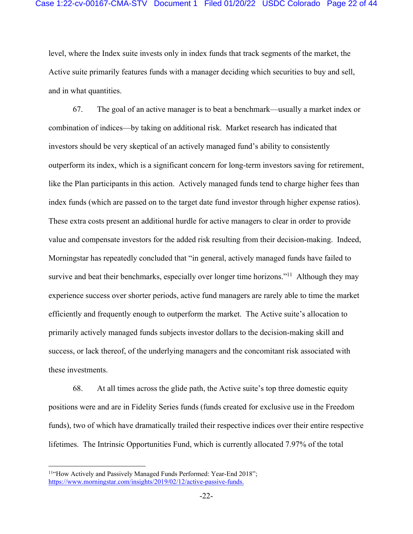level, where the Index suite invests only in index funds that track segments of the market, the Active suite primarily features funds with a manager deciding which securities to buy and sell, and in what quantities.

67. The goal of an active manager is to beat a benchmark—usually a market index or combination of indices—by taking on additional risk. Market research has indicated that investors should be very skeptical of an actively managed fund's ability to consistently outperform its index, which is a significant concern for long-term investors saving for retirement, like the Plan participants in this action. Actively managed funds tend to charge higher fees than index funds (which are passed on to the target date fund investor through higher expense ratios). These extra costs present an additional hurdle for active managers to clear in order to provide value and compensate investors for the added risk resulting from their decision-making. Indeed, Morningstar has repeatedly concluded that "in general, actively managed funds have failed to survive and beat their benchmarks, especially over longer time horizons."<sup>11</sup> Although they may experience success over shorter periods, active fund managers are rarely able to time the market efficiently and frequently enough to outperform the market. The Active suite's allocation to primarily actively managed funds subjects investor dollars to the decision-making skill and success, or lack thereof, of the underlying managers and the concomitant risk associated with these investments.

68. At all times across the glide path, the Active suite's top three domestic equity positions were and are in Fidelity Series funds (funds created for exclusive use in the Freedom funds), two of which have dramatically trailed their respective indices over their entire respective lifetimes. The Intrinsic Opportunities Fund, which is currently allocated 7.97% of the total

<sup>&</sup>lt;sup>11"</sup>How Actively and Passively Managed Funds Performed: Year-End 2018"; https://www.morningstar.com/insights/2019/02/12/active-passive-funds.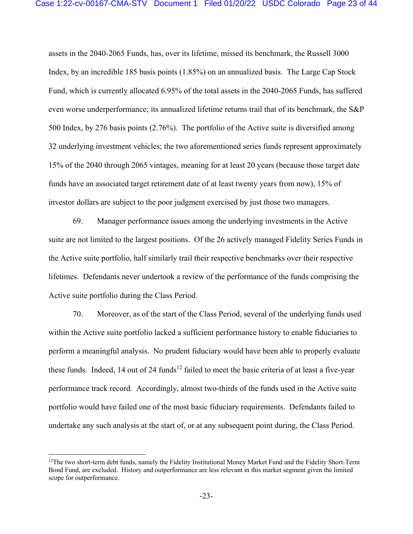#### Case 1:22-cv-00167-CMA-STV Document 1 Filed 01/20/22 USDC Colorado Page 23 of 44

assets in the 2040-2065 Funds, has, over its lifetime, missed its benchmark, the Russell 3000 Index, by an incredible 185 basis points (1.85%) on an annualized basis. The Large Cap Stock Fund, which is currently allocated 6.95% of the total assets in the 2040-2065 Funds, has suffered even worse underperformance; its annualized lifetime returns trail that of its benchmark, the S&P 500 Index, by 276 basis points (2.76%). The portfolio of the Active suite is diversified among 32 underlying investment vehicles; the two aforementioned series funds represent approximately 15% of the 2040 through 2065 vintages, meaning for at least 20 years (because those target date funds have an associated target retirement date of at least twenty years from now), 15% of investor dollars are subject to the poor judgment exercised by just those two managers.

69. Manager performance issues among the underlying investments in the Active suite are not limited to the largest positions. Of the 26 actively managed Fidelity Series Funds in the Active suite portfolio, half similarly trail their respective benchmarks over their respective lifetimes. Defendants never undertook a review of the performance of the funds comprising the Active suite portfolio during the Class Period.

70. Moreover, as of the start of the Class Period, several of the underlying funds used within the Active suite portfolio lacked a sufficient performance history to enable fiduciaries to perform a meaningful analysis. No prudent fiduciary would have been able to properly evaluate these funds. Indeed, 14 out of 24 funds<sup>12</sup> failed to meet the basic criteria of at least a five-year performance track record. Accordingly, almost two-thirds of the funds used in the Active suite portfolio would have failed one of the most basic fiduciary requirements. Defendants failed to undertake any such analysis at the start of, or at any subsequent point during, the Class Period.

 $12$ The two short-term debt funds, namely the Fidelity Institutional Money Market Fund and the Fidelity Short-Term Bond Fund, are excluded. History and outperformance are less relevant in this market segment given the limited scope for outperformance.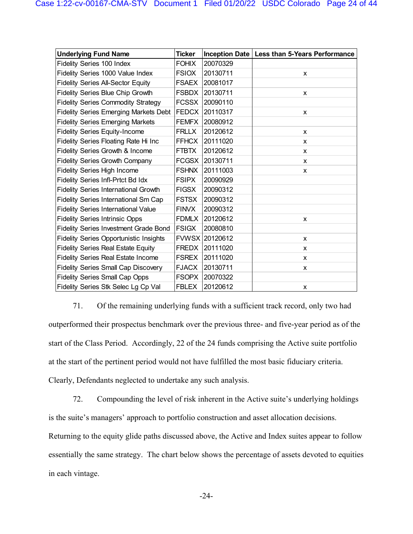| <b>Underlying Fund Name</b>                   | <b>Ticker</b> | <b>Inception Date</b> | Less than 5-Years Performance |
|-----------------------------------------------|---------------|-----------------------|-------------------------------|
| Fidelity Series 100 Index                     | <b>FOHIX</b>  | 20070329              |                               |
| Fidelity Series 1000 Value Index              | <b>FSIOX</b>  | 20130711              | X                             |
| <b>Fidelity Series All-Sector Equity</b>      | <b>FSAEX</b>  | 20081017              |                               |
| Fidelity Series Blue Chip Growth              | <b>FSBDX</b>  | 20130711              | X                             |
| <b>Fidelity Series Commodity Strategy</b>     | <b>FCSSX</b>  | 20090110              |                               |
| <b>Fidelity Series Emerging Markets Debt</b>  | <b>FEDCX</b>  | 20110317              | X                             |
| <b>Fidelity Series Emerging Markets</b>       | <b>FEMFX</b>  | 20080912              |                               |
| <b>Fidelity Series Equity-Income</b>          | <b>FRLLX</b>  | 20120612              | X                             |
| Fidelity Series Floating Rate Hi Inc          | <b>FFHCX</b>  | 20111020              | X                             |
| Fidelity Series Growth & Income               | <b>FTBTX</b>  | 20120612              | X                             |
| <b>Fidelity Series Growth Company</b>         | <b>FCGSX</b>  | 20130711              | X                             |
| Fidelity Series High Income                   | <b>FSHNX</b>  | 20111003              | X                             |
| Fidelity Series Infl-Prtct Bd Idx             | <b>FSIPX</b>  | 20090929              |                               |
| <b>Fidelity Series International Growth</b>   | <b>FIGSX</b>  | 20090312              |                               |
| Fidelity Series International Sm Cap          | <b>FSTSX</b>  | 20090312              |                               |
| <b>Fidelity Series International Value</b>    | <b>FINVX</b>  | 20090312              |                               |
| <b>Fidelity Series Intrinsic Opps</b>         | <b>FDMLX</b>  | 20120612              | X                             |
| <b>Fidelity Series Investment Grade Bond</b>  | <b>FSIGX</b>  | 20080810              |                               |
| <b>Fidelity Series Opportunistic Insights</b> | <b>FVWSX</b>  | 20120612              | X                             |
| <b>Fidelity Series Real Estate Equity</b>     | <b>FREDX</b>  | 20111020              | X                             |
| <b>Fidelity Series Real Estate Income</b>     | <b>FSREX</b>  | 20111020              | X                             |
| <b>Fidelity Series Small Cap Discovery</b>    | <b>FJACX</b>  | 20130711              | X                             |
| <b>Fidelity Series Small Cap Opps</b>         | <b>FSOPX</b>  | 20070322              |                               |
| Fidelity Series Stk Selec Lg Cp Val           | <b>FBLEX</b>  | 20120612              | X                             |

71. Of the remaining underlying funds with a sufficient track record, only two had outperformed their prospectus benchmark over the previous three- and five-year period as of the start of the Class Period. Accordingly, 22 of the 24 funds comprising the Active suite portfolio at the start of the pertinent period would not have fulfilled the most basic fiduciary criteria. Clearly, Defendants neglected to undertake any such analysis.

72. Compounding the level of risk inherent in the Active suite's underlying holdings is the suite's managers' approach to portfolio construction and asset allocation decisions. Returning to the equity glide paths discussed above, the Active and Index suites appear to follow essentially the same strategy. The chart below shows the percentage of assets devoted to equities in each vintage.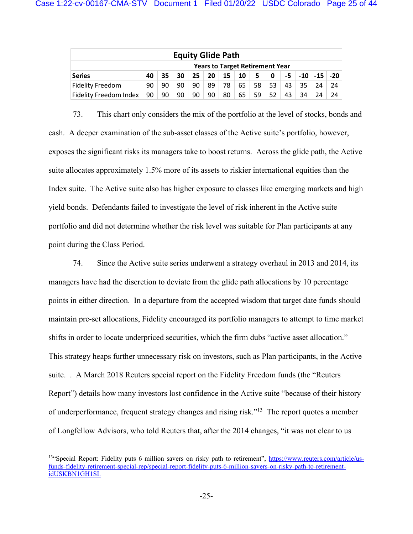| <b>Equity Glide Path</b>      |                                        |                                                                        |    |    |    |    |    |    |    |    |    |    |    |
|-------------------------------|----------------------------------------|------------------------------------------------------------------------|----|----|----|----|----|----|----|----|----|----|----|
|                               | <b>Years to Target Retirement Year</b> |                                                                        |    |    |    |    |    |    |    |    |    |    |    |
| <b>Series</b>                 | 40                                     | $-10$ $-15$ $-20$<br>15<br>-20<br>25<br>30<br>35<br>10<br>5<br>-5<br>0 |    |    |    |    |    |    |    |    |    |    |    |
| <b>Fidelity Freedom</b>       | 90                                     | 90                                                                     | 90 | 90 | 89 | 78 | 65 | 58 | 53 | 43 | 35 | 24 | 24 |
| <b>Fidelity Freedom Index</b> | 90                                     | 90                                                                     | 90 | 90 | 90 | 80 | 65 | 59 | 52 | 43 | 34 | 24 | 24 |

73. This chart only considers the mix of the portfolio at the level of stocks, bonds and cash. A deeper examination of the sub-asset classes of the Active suite's portfolio, however, exposes the significant risks its managers take to boost returns. Across the glide path, the Active suite allocates approximately 1.5% more of its assets to riskier international equities than the Index suite. The Active suite also has higher exposure to classes like emerging markets and high yield bonds. Defendants failed to investigate the level of risk inherent in the Active suite portfolio and did not determine whether the risk level was suitable for Plan participants at any point during the Class Period.

74. Since the Active suite series underwent a strategy overhaul in 2013 and 2014, its managers have had the discretion to deviate from the glide path allocations by 10 percentage points in either direction. In a departure from the accepted wisdom that target date funds should maintain pre-set allocations, Fidelity encouraged its portfolio managers to attempt to time market shifts in order to locate underpriced securities, which the firm dubs "active asset allocation." This strategy heaps further unnecessary risk on investors, such as Plan participants, in the Active suite. . A March 2018 Reuters special report on the Fidelity Freedom funds (the "Reuters Report") details how many investors lost confidence in the Active suite "because of their history of underperformance, frequent strategy changes and rising risk."<sup>13</sup> The report quotes a member of Longfellow Advisors, who told Reuters that, after the 2014 changes, "it was not clear to us

<sup>&</sup>lt;sup>13"</sup>Special Report: Fidelity puts 6 million savers on risky path to retirement", https://www.reuters.com/article/usfunds-fidelity-retirement-special-rep/special-report-fidelity-puts-6-million-savers-on-risky-path-to-retirementidUSKBN1GH1SI.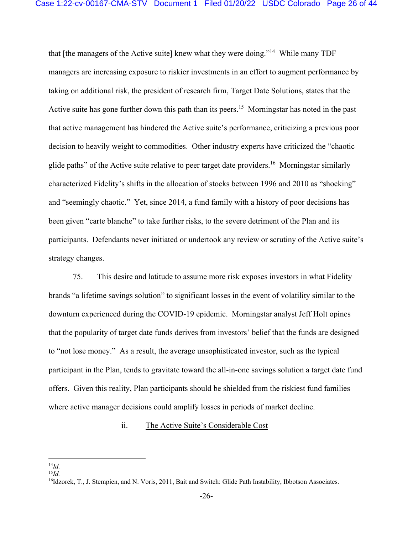that [the managers of the Active suite] knew what they were doing."<sup>14</sup> While many TDF managers are increasing exposure to riskier investments in an effort to augment performance by taking on additional risk, the president of research firm, Target Date Solutions, states that the Active suite has gone further down this path than its peers.<sup>15</sup> Morningstar has noted in the past that active management has hindered the Active suite's performance, criticizing a previous poor decision to heavily weight to commodities. Other industry experts have criticized the "chaotic glide paths" of the Active suite relative to peer target date providers.<sup>16</sup> Morningstar similarly characterized Fidelity's shifts in the allocation of stocks between 1996 and 2010 as "shocking" and "seemingly chaotic." Yet, since 2014, a fund family with a history of poor decisions has been given "carte blanche" to take further risks, to the severe detriment of the Plan and its participants. Defendants never initiated or undertook any review or scrutiny of the Active suite's strategy changes.

75. This desire and latitude to assume more risk exposes investors in what Fidelity brands "a lifetime savings solution" to significant losses in the event of volatility similar to the downturn experienced during the COVID-19 epidemic. Morningstar analyst Jeff Holt opines that the popularity of target date funds derives from investors' belief that the funds are designed to "not lose money." As a result, the average unsophisticated investor, such as the typical participant in the Plan, tends to gravitate toward the all-in-one savings solution a target date fund offers. Given this reality, Plan participants should be shielded from the riskiest fund families where active manager decisions could amplify losses in periods of market decline.

### ii. The Active Suite's Considerable Cost

 $^{14}Id$ .

 $^{15}Id$ 

<sup>&</sup>lt;sup>16</sup>Idzorek, T., J. Stempien, and N. Voris, 2011, Bait and Switch: Glide Path Instability, Ibbotson Associates.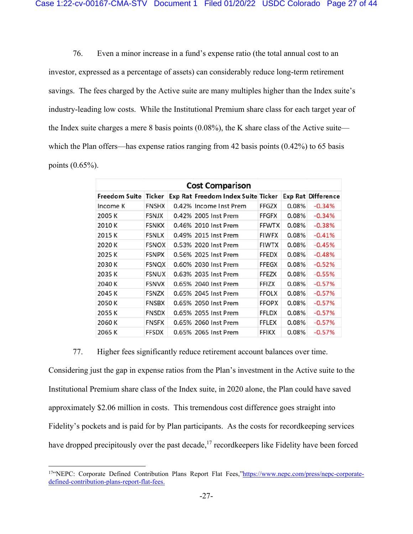76. Even a minor increase in a fund's expense ratio (the total annual cost to an investor, expressed as a percentage of assets) can considerably reduce long-term retirement savings. The fees charged by the Active suite are many multiples higher than the Index suite's industry-leading low costs. While the Institutional Premium share class for each target year of the Index suite charges a mere 8 basis points (0.08%), the K share class of the Active suite which the Plan offers—has expense ratios ranging from 42 basis points  $(0.42\%)$  to 65 basis points (0.65%).

|                      | <b>Cost Comparison</b> |  |                                    |              |       |                           |  |  |  |  |  |
|----------------------|------------------------|--|------------------------------------|--------------|-------|---------------------------|--|--|--|--|--|
| <b>Freedom Suite</b> | Ticker                 |  | Exp Rat Freedom Index Suite Ticker |              |       | <b>Exp Rat Difference</b> |  |  |  |  |  |
| Income K             | <b>FNSHX</b>           |  | 0.42% Income Inst Prem             | FFGZX        | 0.08% | $-0.34%$                  |  |  |  |  |  |
| 2005 K               | <b>FSNJX</b>           |  | 0.42% 2005 Inst Prem               | FFGFX        | 0.08% | $-0.34%$                  |  |  |  |  |  |
| 2010 K               | <b>FSNKX</b>           |  | 0.46% 2010 Inst Prem               | <b>FFWTX</b> | 0.08% | $-0.38%$                  |  |  |  |  |  |
| 2015 K               | <b>FSNLX</b>           |  | 0.49% 2015 Inst Prem               | <b>FIWFX</b> | 0.08% | $-0.41%$                  |  |  |  |  |  |
| 2020 K               | <b>FSNOX</b>           |  | 0.53% 2020 Inst Prem               | <b>FIWTX</b> | 0.08% | $-0.45%$                  |  |  |  |  |  |
| 2025 K               | <b>FSNPX</b>           |  | 0.56% 2025 Inst Prem               | <b>FFEDX</b> | 0.08% | $-0.48%$                  |  |  |  |  |  |
| 2030 K               | <b>FSNQX</b>           |  | 0.60% 2030 Inst Prem               | FFEGX        | 0.08% | $-0.52%$                  |  |  |  |  |  |
| 2035K                | <b>FSNUX</b>           |  | 0.63% 2035 Inst Prem               | FFEZX        | 0.08% | $-0.55%$                  |  |  |  |  |  |
| 2040 K               | <b>FSNVX</b>           |  | 0.65% 2040 Inst Prem               | <b>FFIZX</b> | 0.08% | $-0.57%$                  |  |  |  |  |  |
| 2045 K               | <b>FSNZX</b>           |  | 0.65% 2045 Inst Prem               | <b>FFOLX</b> | 0.08% | $-0.57%$                  |  |  |  |  |  |
| 2050 K               | <b>FNSBX</b>           |  | 0.65% 2050 Inst Prem               | <b>FFOPX</b> | 0.08% | $-0.57%$                  |  |  |  |  |  |
| 2055 K               | <b>FNSDX</b>           |  | 0.65% 2055 Inst Prem               | FFLDX        | 0.08% | $-0.57%$                  |  |  |  |  |  |
| 2060 K               | <b>FNSFX</b>           |  | 0.65% 2060 Inst Prem               | FFLEX        | 0.08% | $-0.57%$                  |  |  |  |  |  |
| 2065 K               | <b>FFSDX</b>           |  | 0.65% 2065 Inst Prem               | <b>FFIKX</b> | 0.08% | $-0.57%$                  |  |  |  |  |  |

77. Higher fees significantly reduce retirement account balances over time.

Considering just the gap in expense ratios from the Plan's investment in the Active suite to the Institutional Premium share class of the Index suite, in 2020 alone, the Plan could have saved approximately \$2.06 million in costs. This tremendous cost difference goes straight into Fidelity's pockets and is paid for by Plan participants. As the costs for recordkeeping services have dropped precipitously over the past decade, $17$  recordkeepers like Fidelity have been forced

<sup>&</sup>lt;sup>17"</sup>NEPC: Corporate Defined Contribution Plans Report Flat Fees,"https://www.nepc.com/press/nepc-corporatedefined-contribution-plans-report-flat-fees.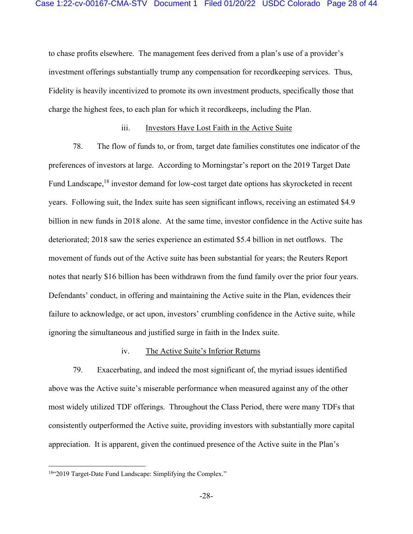to chase profits elsewhere. The management fees derived from a plan's use of a provider's investment offerings substantially trump any compensation for recordkeeping services. Thus, Fidelity is heavily incentivized to promote its own investment products, specifically those that charge the highest fees, to each plan for which it recordkeeps, including the Plan.

#### iii. Investors Have Lost Faith in the Active Suite

78. The flow of funds to, or from, target date families constitutes one indicator of the preferences of investors at large. According to Morningstar's report on the 2019 Target Date Fund Landscape,<sup>18</sup> investor demand for low-cost target date options has skyrocketed in recent years. Following suit, the Index suite has seen significant inflows, receiving an estimated \$4.9 billion in new funds in 2018 alone. At the same time, investor confidence in the Active suite has deteriorated; 2018 saw the series experience an estimated \$5.4 billion in net outflows. The movement of funds out of the Active suite has been substantial for years; the Reuters Report notes that nearly \$16 billion has been withdrawn from the fund family over the prior four years. Defendants' conduct, in offering and maintaining the Active suite in the Plan, evidences their failure to acknowledge, or act upon, investors' crumbling confidence in the Active suite, while ignoring the simultaneous and justified surge in faith in the Index suite.

#### iv. The Active Suite's Inferior Returns

79. Exacerbating, and indeed the most significant of, the myriad issues identified above was the Active suite's miserable performance when measured against any of the other most widely utilized TDF offerings. Throughout the Class Period, there were many TDFs that consistently outperformed the Active suite, providing investors with substantially more capital appreciation. It is apparent, given the continued presence of the Active suite in the Plan's

<sup>18&</sup>quot;2019 Target-Date Fund Landscape: Simplifying the Complex."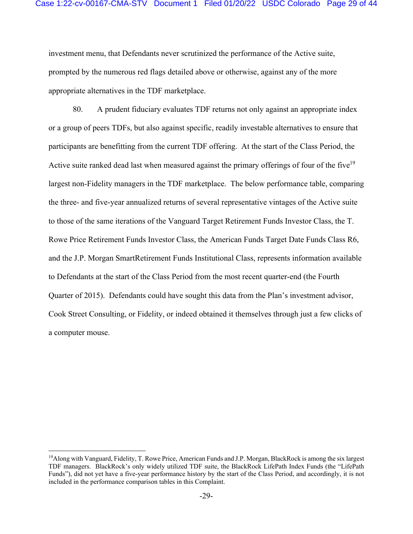investment menu, that Defendants never scrutinized the performance of the Active suite, prompted by the numerous red flags detailed above or otherwise, against any of the more appropriate alternatives in the TDF marketplace.

80. A prudent fiduciary evaluates TDF returns not only against an appropriate index or a group of peers TDFs, but also against specific, readily investable alternatives to ensure that participants are benefitting from the current TDF offering. At the start of the Class Period, the Active suite ranked dead last when measured against the primary offerings of four of the five<sup>19</sup> largest non-Fidelity managers in the TDF marketplace. The below performance table, comparing the three- and five-year annualized returns of several representative vintages of the Active suite to those of the same iterations of the Vanguard Target Retirement Funds Investor Class, the T. Rowe Price Retirement Funds Investor Class, the American Funds Target Date Funds Class R6, and the J.P. Morgan SmartRetirement Funds Institutional Class, represents information available to Defendants at the start of the Class Period from the most recent quarter-end (the Fourth Quarter of 2015). Defendants could have sought this data from the Plan's investment advisor, Cook Street Consulting, or Fidelity, or indeed obtained it themselves through just a few clicks of a computer mouse.

<sup>19</sup>Along with Vanguard, Fidelity, T. Rowe Price, American Funds and J.P. Morgan, BlackRock is among the six largest TDF managers. BlackRock's only widely utilized TDF suite, the BlackRock LifePath Index Funds (the "LifePath Funds"), did not yet have a five-year performance history by the start of the Class Period, and accordingly, it is not included in the performance comparison tables in this Complaint.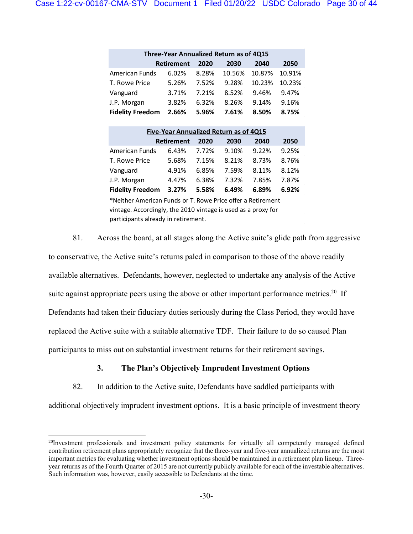| Three-Year Annualized Return as of 4Q15 |                   |       |        |        |        |  |  |  |  |
|-----------------------------------------|-------------------|-------|--------|--------|--------|--|--|--|--|
|                                         | <b>Retirement</b> | 2020  | 2030   | 2040   | 2050   |  |  |  |  |
| American Funds                          | 6.02%             | 8.28% | 10.56% | 10.87% | 10.91% |  |  |  |  |
| T. Rowe Price                           | 5.26%             | 7.52% | 9.28%  | 10.23% | 10.23% |  |  |  |  |
| Vanguard                                | 3.71%             | 7.21% | 8.52%  | 9.46%  | 9.47%  |  |  |  |  |
| J.P. Morgan                             | 3.82%             | 6.32% | 8.26%  | 9.14%  | 9.16%  |  |  |  |  |
| <b>Fidelity Freedom</b>                 | 2.66%             | 5.96% | 7.61%  | 8.50%  | 8.75%  |  |  |  |  |

| Five-Year Annualized Return as of 4Q15 |                   |       |       |       |       |  |  |  |  |
|----------------------------------------|-------------------|-------|-------|-------|-------|--|--|--|--|
|                                        | <b>Retirement</b> | 2020  | 2030  | 2040  | 2050  |  |  |  |  |
| <b>American Funds</b>                  | 6.43%             | 7.72% | 9.10% | 9.22% | 9.25% |  |  |  |  |
| T. Rowe Price                          | 5.68%             | 7.15% | 8.21% | 8.73% | 8.76% |  |  |  |  |
| Vanguard                               | 4.91%             | 6.85% | 7.59% | 8.11% | 8.12% |  |  |  |  |
| J.P. Morgan                            | 4.47%             | 6.38% | 7.32% | 7.85% | 7.87% |  |  |  |  |
| <b>Fidelity Freedom</b>                | 3.27%             | 5.58% | 6.49% | 6.89% | 6.92% |  |  |  |  |

\*Neither American Funds or T. Rowe Price offer a Retirement vintage. Accordingly, the 2010 vintage is used as a proxy for participants already in retirement.

81. Across the board, at all stages along the Active suite's glide path from aggressive

to conservative, the Active suite's returns paled in comparison to those of the above readily available alternatives. Defendants, however, neglected to undertake any analysis of the Active suite against appropriate peers using the above or other important performance metrics.<sup>20</sup> If Defendants had taken their fiduciary duties seriously during the Class Period, they would have replaced the Active suite with a suitable alternative TDF. Their failure to do so caused Plan participants to miss out on substantial investment returns for their retirement savings.

# **3. The Plan's Objectively Imprudent Investment Options**

82. In addition to the Active suite, Defendants have saddled participants with

additional objectively imprudent investment options. It is a basic principle of investment theory

 $^{20}$ Investment professionals and investment policy statements for virtually all competently managed defined contribution retirement plans appropriately recognize that the three-year and five-year annualized returns are the most important metrics for evaluating whether investment options should be maintained in a retirement plan lineup. Threeyear returns as of the Fourth Quarter of 2015 are not currently publicly available for each of the investable alternatives. Such information was, however, easily accessible to Defendants at the time.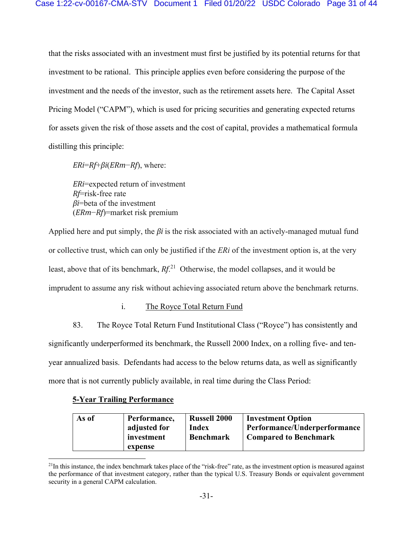that the risks associated with an investment must first be justified by its potential returns for that investment to be rational. This principle applies even before considering the purpose of the investment and the needs of the investor, such as the retirement assets here. The Capital Asset Pricing Model ("CAPM"), which is used for pricing securities and generating expected returns for assets given the risk of those assets and the cost of capital, provides a mathematical formula distilling this principle:

*ERi*=*Rf*+*βi*(*ERm*−*Rf*), where:

*ERi*=expected return of investment *Rf*=risk-free rate *βi*=beta of the investment (*ERm*−*Rf*)=market risk premium

Applied here and put simply, the *βi* is the risk associated with an actively-managed mutual fund or collective trust, which can only be justified if the *ERi* of the investment option is, at the very least, above that of its benchmark, *Rf*. <sup>21</sup> Otherwise, the model collapses, and it would be imprudent to assume any risk without achieving associated return above the benchmark returns.

# i. The Royce Total Return Fund

83. The Royce Total Return Fund Institutional Class ("Royce") has consistently and significantly underperformed its benchmark, the Russell 2000 Index, on a rolling five- and tenyear annualized basis. Defendants had access to the below returns data, as well as significantly more that is not currently publicly available, in real time during the Class Period:

### **5-Year Trailing Performance**

| As of | Performance, | <b>Russell 2000</b> | <b>Investment Option</b>     |
|-------|--------------|---------------------|------------------------------|
|       | adjusted for | Index               | Performance/Underperformance |
|       | investment   | <b>Benchmark</b>    | <b>Compared to Benchmark</b> |
|       | expense      |                     |                              |

 $^{21}$ In this instance, the index benchmark takes place of the "risk-free" rate, as the investment option is measured against the performance of that investment category, rather than the typical U.S. Treasury Bonds or equivalent government security in a general CAPM calculation.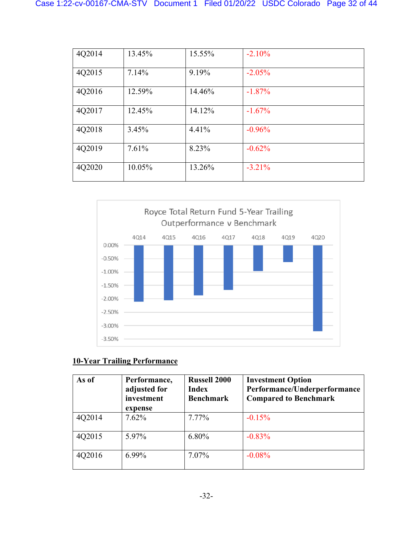| 4Q2014 | 13.45% | 15.55% | $-2.10%$  |
|--------|--------|--------|-----------|
| 4Q2015 | 7.14%  | 9.19%  | $-2.05%$  |
| 4Q2016 | 12.59% | 14.46% | $-1.87\%$ |
| 4Q2017 | 12.45% | 14.12% | $-1.67\%$ |
| 4Q2018 | 3.45%  | 4.41%  | $-0.96%$  |
| 4Q2019 | 7.61%  | 8.23%  | $-0.62%$  |
| 4Q2020 | 10.05% | 13.26% | $-3.21\%$ |



# **10-Year Trailing Performance**

| As of  | Performance,<br>adjusted for<br>investment<br>expense | <b>Russell 2000</b><br><b>Index</b><br><b>Benchmark</b> | <b>Investment Option</b><br>Performance/Underperformance<br><b>Compared to Benchmark</b> |
|--------|-------------------------------------------------------|---------------------------------------------------------|------------------------------------------------------------------------------------------|
| 4Q2014 | 7.62%                                                 | 7.77%                                                   | $-0.15%$                                                                                 |
| 4Q2015 | 5.97%                                                 | 6.80%                                                   | $-0.83\%$                                                                                |
| 4Q2016 | $6.99\%$                                              | 7.07%                                                   | $-0.08%$                                                                                 |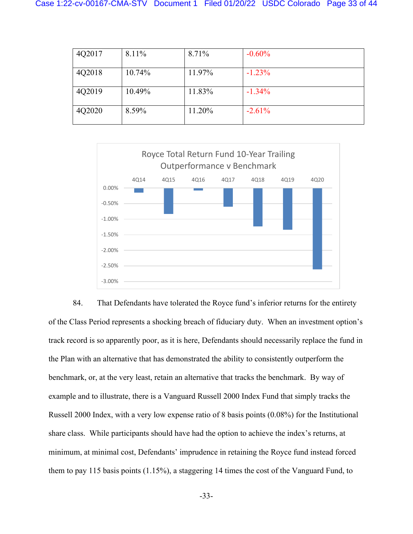| 4Q2017 | 8.11%  | 8.71%  | $-0.60%$ |
|--------|--------|--------|----------|
| 4Q2018 | 10.74% | 11.97% | $-1.23%$ |
| 4Q2019 | 10.49% | 11.83% | $-1.34%$ |
| 4Q2020 | 8.59%  | 11.20% | $-2.61%$ |



84. That Defendants have tolerated the Royce fund's inferior returns for the entirety of the Class Period represents a shocking breach of fiduciary duty. When an investment option's track record is so apparently poor, as it is here, Defendants should necessarily replace the fund in the Plan with an alternative that has demonstrated the ability to consistently outperform the benchmark, or, at the very least, retain an alternative that tracks the benchmark. By way of example and to illustrate, there is a Vanguard Russell 2000 Index Fund that simply tracks the Russell 2000 Index, with a very low expense ratio of 8 basis points (0.08%) for the Institutional share class. While participants should have had the option to achieve the index's returns, at minimum, at minimal cost, Defendants' imprudence in retaining the Royce fund instead forced them to pay 115 basis points (1.15%), a staggering 14 times the cost of the Vanguard Fund, to

-33-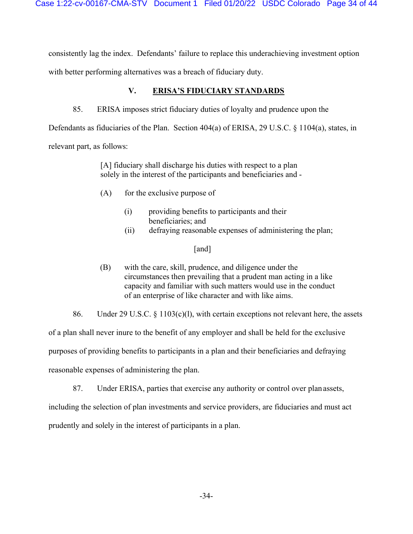consistently lag the index. Defendants' failure to replace this underachieving investment option

with better performing alternatives was a breach of fiduciary duty.

# **V. ERISA'S FIDUCIARY STANDARDS**

85. ERISA imposes strict fiduciary duties of loyalty and prudence upon the

Defendants as fiduciaries of the Plan. Section 404(a) of ERISA, 29 U.S.C. § 1104(a), states, in relevant part, as follows:

> [A] fiduciary shall discharge his duties with respect to a plan solely in the interest of the participants and beneficiaries and -

- $(A)$  for the exclusive purpose of
	- (i) providing benefits to participants and their beneficiaries; and
	- (ii) defraying reasonable expenses of administering the plan;

### [and]

- (B) with the care, skill, prudence, and diligence under the circumstances then prevailing that a prudent man acting in a like capacity and familiar with such matters would use in the conduct of an enterprise of like character and with like aims.
- 86. Under 29 U.S.C. § 1103(c)(l), with certain exceptions not relevant here, the assets

of a plan shall never inure to the benefit of any employer and shall be held for the exclusive

purposes of providing benefits to participants in a plan and their beneficiaries and defraying

reasonable expenses of administering the plan.

87. Under ERISA, parties that exercise any authority or control over plan assets,

including the selection of plan investments and service providers, are fiduciaries and must act

prudently and solely in the interest of participants in a plan.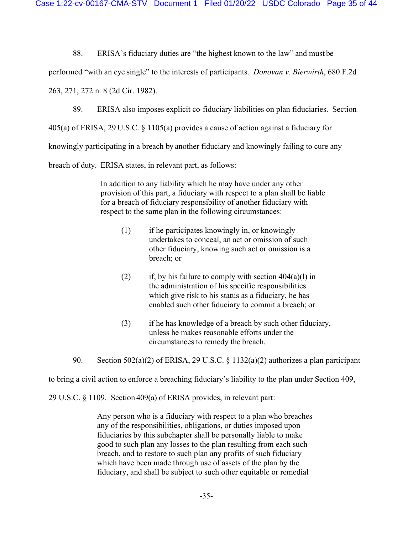Case 1:22-cv-00167-CMA-STV Document 1 Filed 01/20/22 USDC Colorado Page 35 of 44

88. ERISA's fiduciary duties are "the highest known to the law" and must be

performed "with an eye single" to the interests of participants. *Donovan v. Bierwirth*, 680 F.2d

263, 271, 272 n. 8 (2d Cir. 1982).

89. ERISA also imposes explicit co-fiduciary liabilities on plan fiduciaries. Section

405(a) of ERISA, 29 U.S.C. § 1105(a) provides a cause of action against a fiduciary for

knowingly participating in a breach by another fiduciary and knowingly failing to cure any

breach of duty. ERISA states, in relevant part, as follows:

In addition to any liability which he may have under any other provision of this part, a fiduciary with respect to a plan shall be liable for a breach of fiduciary responsibility of another fiduciary with respect to the same plan in the following circumstances:

- (1) if he participates knowingly in, or knowingly undertakes to conceal, an act or omission of such other fiduciary, knowing such act or omission is a breach; or
- (2) if, by his failure to comply with section  $404(a)(l)$  in the administration of his specific responsibilities which give risk to his status as a fiduciary, he has enabled such other fiduciary to commit a breach; or
- (3) if he has knowledge of a breach by such other fiduciary, unless he makes reasonable efforts under the circumstances to remedy the breach.

90. Section 502(a)(2) of ERISA, 29 U.S.C. § 1132(a)(2) authorizes a plan participant

to bring a civil action to enforce a breaching fiduciary's liability to the plan under Section 409,

29 U.S.C. § 1109. Section 409(a) of ERISA provides, in relevant part:

Any person who is a fiduciary with respect to a plan who breaches any of the responsibilities, obligations, or duties imposed upon fiduciaries by this subchapter shall be personally liable to make good to such plan any losses to the plan resulting from each such breach, and to restore to such plan any profits of such fiduciary which have been made through use of assets of the plan by the fiduciary, and shall be subject to such other equitable or remedial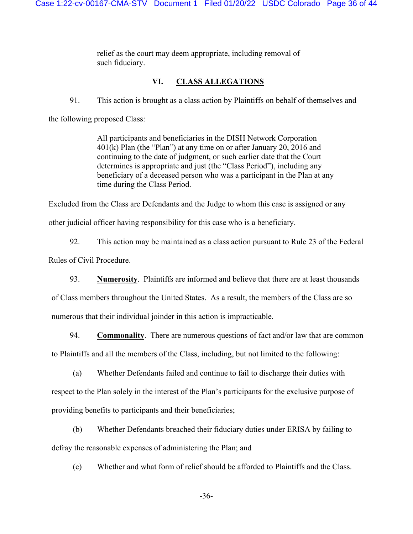relief as the court may deem appropriate, including removal of such fiduciary.

# **VI. CLASS ALLEGATIONS**

91. This action is brought as a class action by Plaintiffs on behalf of themselves and

the following proposed Class:

All participants and beneficiaries in the DISH Network Corporation 401(k) Plan (the "Plan") at any time on or after January 20, 2016 and continuing to the date of judgment, or such earlier date that the Court determines is appropriate and just (the "Class Period"), including any beneficiary of a deceased person who was a participant in the Plan at any time during the Class Period.

Excluded from the Class are Defendants and the Judge to whom this case is assigned or any

other judicial officer having responsibility for this case who is a beneficiary.

92. This action may be maintained as a class action pursuant to Rule 23 of the Federal Rules of Civil Procedure.

93. **Numerosity**. Plaintiffs are informed and believe that there are at least thousands

of Class members throughout the United States. As a result, the members of the Class are so numerous that their individual joinder in this action is impracticable.

94. **Commonality**. There are numerous questions of fact and/or law that are common to Plaintiffs and all the members of the Class, including, but not limited to the following:

(a) Whether Defendants failed and continue to fail to discharge their duties with

respect to the Plan solely in the interest of the Plan's participants for the exclusive purpose of providing benefits to participants and their beneficiaries;

(b) Whether Defendants breached their fiduciary duties under ERISA by failing to defray the reasonable expenses of administering the Plan; and

(c) Whether and what form of relief should be afforded to Plaintiffs and the Class.

-36-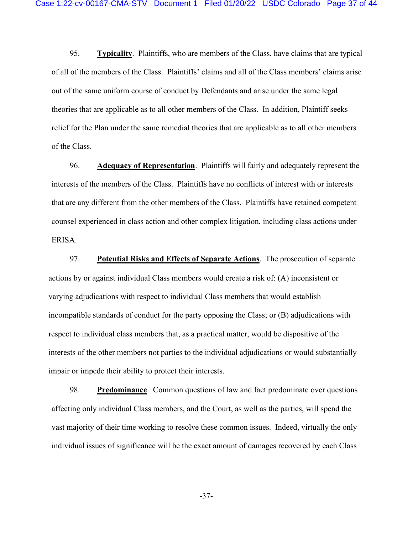95. **Typicality**. Plaintiffs, who are members of the Class, have claims that are typical of all of the members of the Class. Plaintiffs' claims and all of the Class members' claims arise out of the same uniform course of conduct by Defendants and arise under the same legal theories that are applicable as to all other members of the Class. In addition, Plaintiff seeks relief for the Plan under the same remedial theories that are applicable as to all other members of the Class.

96. **Adequacy of Representation**. Plaintiffs will fairly and adequately represent the interests of the members of the Class. Plaintiffs have no conflicts of interest with or interests that are any different from the other members of the Class. Plaintiffs have retained competent counsel experienced in class action and other complex litigation, including class actions under ERISA.

97. **Potential Risks and Effects of Separate Actions**.The prosecution of separate actions by or against individual Class members would create a risk of: (A) inconsistent or varying adjudications with respect to individual Class members that would establish incompatible standards of conduct for the party opposing the Class; or (B) adjudications with respect to individual class members that, as a practical matter, would be dispositive of the interests of the other members not parties to the individual adjudications or would substantially impair or impede their ability to protect their interests.

98. **Predominance**. Common questions of law and fact predominate over questions affecting only individual Class members, and the Court, as well as the parties, will spend the vast majority of their time working to resolve these common issues. Indeed, virtually the only individual issues of significance will be the exact amount of damages recovered by each Class

-37-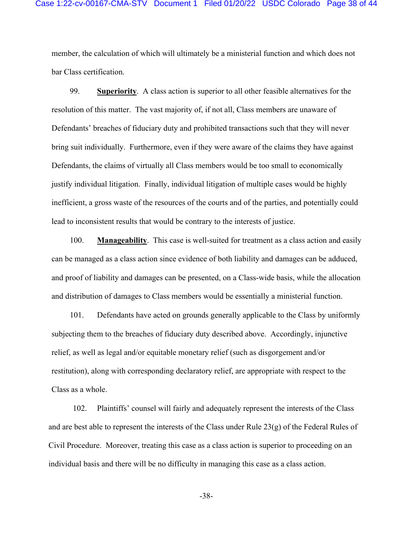member, the calculation of which will ultimately be a ministerial function and which does not bar Class certification.

99. **Superiority**. A class action is superior to all other feasible alternatives for the resolution of this matter. The vast majority of, if not all, Class members are unaware of Defendants' breaches of fiduciary duty and prohibited transactions such that they will never bring suit individually. Furthermore, even if they were aware of the claims they have against Defendants, the claims of virtually all Class members would be too small to economically justify individual litigation. Finally, individual litigation of multiple cases would be highly inefficient, a gross waste of the resources of the courts and of the parties, and potentially could lead to inconsistent results that would be contrary to the interests of justice.

100. **Manageability**. This case is well-suited for treatment as a class action and easily can be managed as a class action since evidence of both liability and damages can be adduced, and proof of liability and damages can be presented, on a Class-wide basis, while the allocation and distribution of damages to Class members would be essentially a ministerial function.

101. Defendants have acted on grounds generally applicable to the Class by uniformly subjecting them to the breaches of fiduciary duty described above. Accordingly, injunctive relief, as well as legal and/or equitable monetary relief (such as disgorgement and/or restitution), along with corresponding declaratory relief, are appropriate with respect to the Class as a whole.

102. Plaintiffs' counsel will fairly and adequately represent the interests of the Class and are best able to represent the interests of the Class under Rule 23(g) of the Federal Rules of Civil Procedure. Moreover, treating this case as a class action is superior to proceeding on an individual basis and there will be no difficulty in managing this case as a class action.

-38-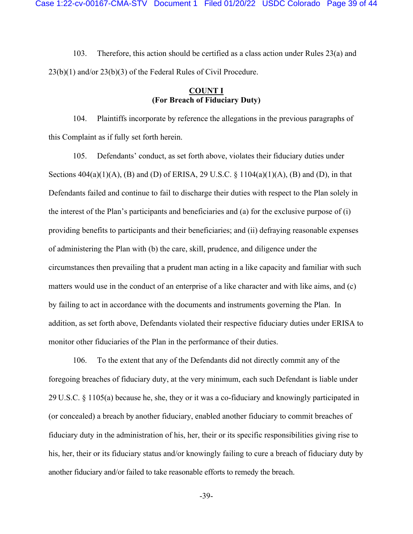103. Therefore, this action should be certified as a class action under Rules 23(a) and 23(b)(1) and/or 23(b)(3) of the Federal Rules of Civil Procedure.

### **COUNT I (For Breach of Fiduciary Duty)**

104. Plaintiffs incorporate by reference the allegations in the previous paragraphs of this Complaint as if fully set forth herein.

105. Defendants' conduct, as set forth above, violates their fiduciary duties under Sections  $404(a)(1)(A)$ , (B) and (D) of ERISA, 29 U.S.C. § 1104(a)(1)(A), (B) and (D), in that Defendants failed and continue to fail to discharge their duties with respect to the Plan solely in the interest of the Plan's participants and beneficiaries and (a) for the exclusive purpose of (i) providing benefits to participants and their beneficiaries; and (ii) defraying reasonable expenses of administering the Plan with (b) the care, skill, prudence, and diligence under the circumstances then prevailing that a prudent man acting in a like capacity and familiar with such matters would use in the conduct of an enterprise of a like character and with like aims, and (c) by failing to act in accordance with the documents and instruments governing the Plan. In addition, as set forth above, Defendants violated their respective fiduciary duties under ERISA to monitor other fiduciaries of the Plan in the performance of their duties.

106. To the extent that any of the Defendants did not directly commit any of the foregoing breaches of fiduciary duty, at the very minimum, each such Defendant is liable under 29 U.S.C. § 1105(a) because he, she, they or it was a co-fiduciary and knowingly participated in (or concealed) a breach by another fiduciary, enabled another fiduciary to commit breaches of fiduciary duty in the administration of his, her, their or its specific responsibilities giving rise to his, her, their or its fiduciary status and/or knowingly failing to cure a breach of fiduciary duty by another fiduciary and/or failed to take reasonable efforts to remedy the breach.

-39-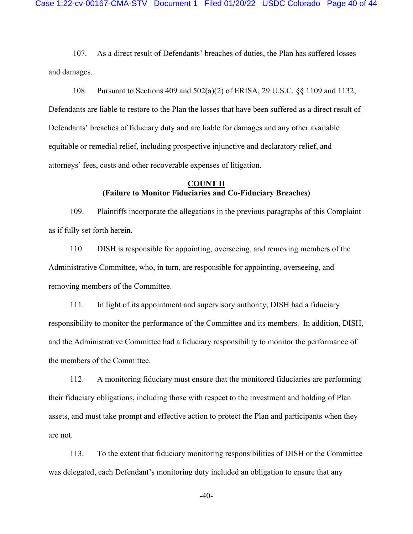107. As a direct result of Defendants' breaches of duties, the Plan has suffered losses and damages.

108. Pursuant to Sections 409 and 502(a)(2) of ERISA, 29 U.S.C. §§ 1109 and 1132, Defendants are liable to restore to the Plan the losses that have been suffered as a direct result of Defendants' breaches of fiduciary duty and are liable for damages and any other available equitable or remedial relief, including prospective injunctive and declaratory relief, and attorneys' fees, costs and other recoverable expenses of litigation.

### **COUNT II (Failure to Monitor Fiduciaries and Co-Fiduciary Breaches)**

109. Plaintiffs incorporate the allegations in the previous paragraphs of this Complaint as if fully set forth herein.

110. DISH is responsible for appointing, overseeing, and removing members of the Administrative Committee, who, in turn, are responsible for appointing, overseeing, and removing members of the Committee.

111. In light of its appointment and supervisory authority, DISH had a fiduciary responsibility to monitor the performance of the Committee and its members. In addition, DISH, and the Administrative Committee had a fiduciary responsibility to monitor the performance of the members of the Committee.

112. A monitoring fiduciary must ensure that the monitored fiduciaries are performing their fiduciary obligations, including those with respect to the investment and holding of Plan assets, and must take prompt and effective action to protect the Plan and participants when they are not.

113. To the extent that fiduciary monitoring responsibilities of DISH or the Committee was delegated, each Defendant's monitoring duty included an obligation to ensure that any

-40-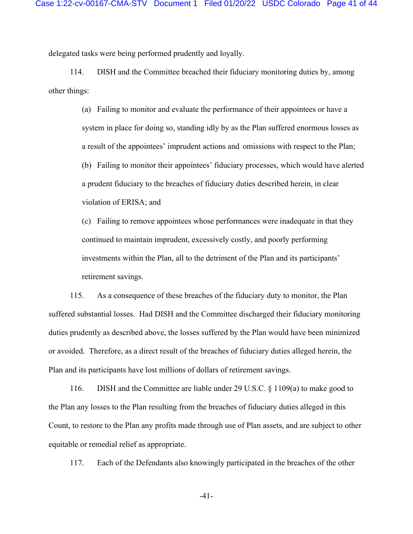delegated tasks were being performed prudently and loyally.

114. DISH and the Committee breached their fiduciary monitoring duties by, among other things:

> (a) Failing to monitor and evaluate the performance of their appointees or have a system in place for doing so, standing idly by as the Plan suffered enormous losses as a result of the appointees' imprudent actions and omissions with respect to the Plan; (b) Failing to monitor their appointees' fiduciary processes, which would have alerted a prudent fiduciary to the breaches of fiduciary duties described herein, in clear violation of ERISA; and

(c) Failing to remove appointees whose performances were inadequate in that they continued to maintain imprudent, excessively costly, and poorly performing investments within the Plan, all to the detriment of the Plan and its participants' retirement savings.

115. As a consequence of these breaches of the fiduciary duty to monitor, the Plan suffered substantial losses. Had DISH and the Committee discharged their fiduciary monitoring duties prudently as described above, the losses suffered by the Plan would have been minimized or avoided. Therefore, as a direct result of the breaches of fiduciary duties alleged herein, the Plan and its participants have lost millions of dollars of retirement savings.

116. DISH and the Committee are liable under 29 U.S.C. § 1109(a) to make good to the Plan any losses to the Plan resulting from the breaches of fiduciary duties alleged in this Count, to restore to the Plan any profits made through use of Plan assets, and are subject to other equitable or remedial relief as appropriate.

117. Each of the Defendants also knowingly participated in the breaches of the other

-41-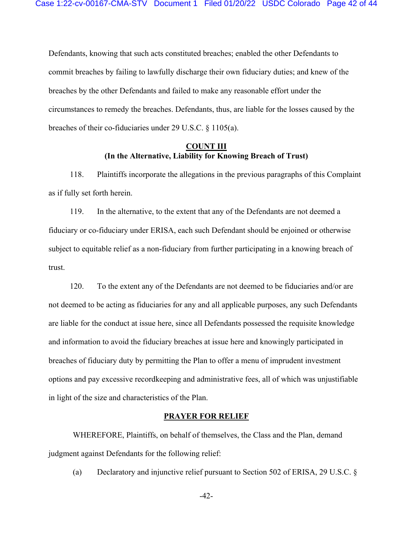Defendants, knowing that such acts constituted breaches; enabled the other Defendants to commit breaches by failing to lawfully discharge their own fiduciary duties; and knew of the breaches by the other Defendants and failed to make any reasonable effort under the circumstances to remedy the breaches. Defendants, thus, are liable for the losses caused by the breaches of their co-fiduciaries under 29 U.S.C. § 1105(a).

# **COUNT III (In the Alternative, Liability for Knowing Breach of Trust)**

118. Plaintiffs incorporate the allegations in the previous paragraphs of this Complaint as if fully set forth herein.

119. In the alternative, to the extent that any of the Defendants are not deemed a fiduciary or co-fiduciary under ERISA, each such Defendant should be enjoined or otherwise subject to equitable relief as a non-fiduciary from further participating in a knowing breach of trust.

120. To the extent any of the Defendants are not deemed to be fiduciaries and/or are not deemed to be acting as fiduciaries for any and all applicable purposes, any such Defendants are liable for the conduct at issue here, since all Defendants possessed the requisite knowledge and information to avoid the fiduciary breaches at issue here and knowingly participated in breaches of fiduciary duty by permitting the Plan to offer a menu of imprudent investment options and pay excessive recordkeeping and administrative fees, all of which was unjustifiable in light of the size and characteristics of the Plan.

#### **PRAYER FOR RELIEF**

 WHEREFORE, Plaintiffs, on behalf of themselves, the Class and the Plan, demand judgment against Defendants for the following relief:

(a) Declaratory and injunctive relief pursuant to Section 502 of ERISA, 29 U.S.C. §

-42-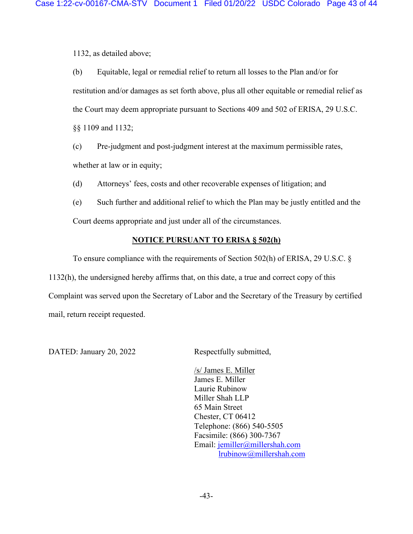1132, as detailed above;

(b) Equitable, legal or remedial relief to return all losses to the Plan and/or for restitution and/or damages as set forth above, plus all other equitable or remedial relief as the Court may deem appropriate pursuant to Sections 409 and 502 of ERISA, 29 U.S.C. §§ 1109 and 1132;

(c) Pre-judgment and post-judgment interest at the maximum permissible rates, whether at law or in equity;

(d) Attorneys' fees, costs and other recoverable expenses of litigation; and

(e) Such further and additional relief to which the Plan may be justly entitled and the Court deems appropriate and just under all of the circumstances.

# **NOTICE PURSUANT TO ERISA § 502(h)**

To ensure compliance with the requirements of Section 502(h) of ERISA, 29 U.S.C. § 1132(h), the undersigned hereby affirms that, on this date, a true and correct copy of this Complaint was served upon the Secretary of Labor and the Secretary of the Treasury by certified mail, return receipt requested.

DATED: January 20, 2022 Respectfully submitted,

/s/ James E. Miller James E. Miller Laurie Rubinow Miller Shah LLP 65 Main Street Chester, CT 06412 Telephone: (866) 540-5505 Facsimile: (866) 300-7367 Email: jemiller@millershah.com lrubinow@millershah.com